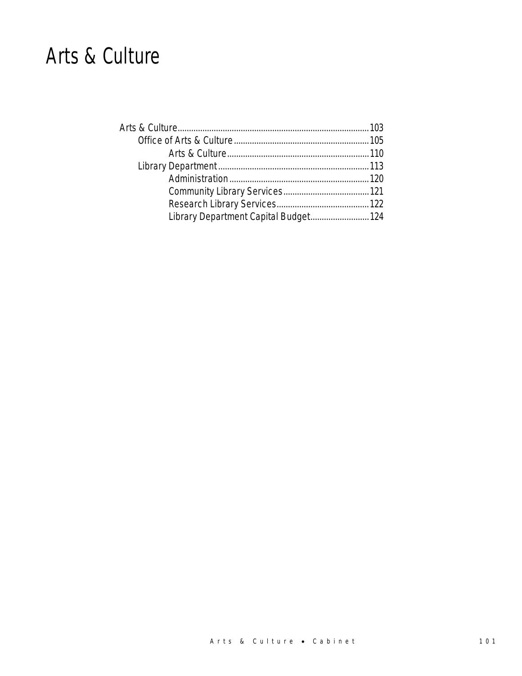# Arts & Culture

| Library Department Capital Budget 124 |  |
|---------------------------------------|--|
|                                       |  |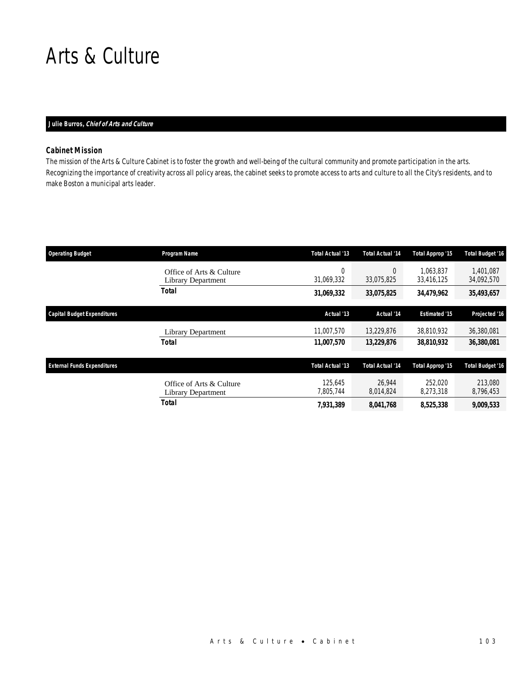# Arts & Culture

# *Julie Burros, Chief of Arts and Culture*

# *Cabinet Mission*

The mission of the Arts & Culture Cabinet is to foster the growth and well-being of the cultural community and promote participation in the arts. Recognizing the importance of creativity across all policy areas, the cabinet seeks to promote access to arts and culture to all the City's residents, and to make Boston a municipal arts leader.

| <b>Operating Budget</b>            | Program Name                                   | Total Actual '13     | <b>Total Actual '14</b> | Total Approp '15        | <b>Total Budget '16</b> |
|------------------------------------|------------------------------------------------|----------------------|-------------------------|-------------------------|-------------------------|
|                                    | Office of Arts & Culture<br>Library Department | 0<br>31,069,332      | $\theta$<br>33,075,825  | 1.063.837<br>33,416,125 | 1.401.087<br>34,092,570 |
|                                    | Total                                          | 31,069,332           | 33,075,825              | 34,479,962              | 35,493,657              |
| <b>Capital Budget Expenditures</b> |                                                | Actual '13           | Actual '14              | <b>Estimated '15</b>    | Projected '16           |
|                                    | Library Department                             | 11.007.570           | 13.229.876              | 38.810.932              | 36,380,081              |
|                                    | <b>Total</b>                                   | 11,007,570           | 13,229,876              | 38,810,932              | 36,380,081              |
| <b>External Funds Expenditures</b> |                                                | Total Actual '13     | <b>Total Actual '14</b> | Total Approp '15        | <b>Total Budget '16</b> |
|                                    | Office of Arts & Culture<br>Library Department | 125.645<br>7,805,744 | 26.944<br>8,014,824     | 252,020<br>8,273,318    | 213,080<br>8,796,453    |
|                                    | Total                                          | 7,931,389            | 8,041,768               | 8,525,338               | 9,009,533               |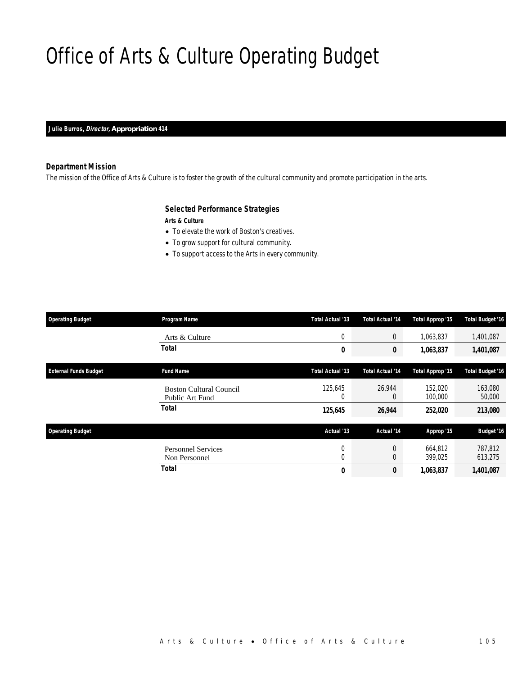# Office of Arts & Culture Operating Budget

*Julie Burros, Director, Appropriation 414* 

# *Department Mission*

The mission of the Office of Arts & Culture is to foster the growth of the cultural community and promote participation in the arts.

# *Selected Performance Strategies*

*Arts & Culture* 

- To elevate the work of Boston's creatives.
- To grow support for cultural community.
- To support access to the Arts in every community.

| <b>Operating Budget</b>      | Program Name                                      | Total Actual '13 | <b>Total Actual '14</b> | Total Approp '15   | <b>Total Budget '16</b> |
|------------------------------|---------------------------------------------------|------------------|-------------------------|--------------------|-------------------------|
|                              | Arts & Culture                                    | $\overline{0}$   | 0                       | 1,063,837          | 1,401,087               |
|                              | <b>Total</b>                                      | 0                | 0                       | 1,063,837          | 1,401,087               |
| <b>External Funds Budget</b> | <b>Fund Name</b>                                  | Total Actual '13 | <b>Total Actual '14</b> | Total Approp '15   | <b>Total Budget '16</b> |
|                              | <b>Boston Cultural Council</b><br>Public Art Fund | 125,645<br>0     | 26,944<br>0             | 152.020<br>100,000 | 163,080<br>50,000       |
|                              | <b>Total</b>                                      | 125,645          | 26,944                  | 252,020            | 213,080                 |
| <b>Operating Budget</b>      |                                                   | Actual '13       | Actual '14              | Approp '15         | <b>Budget '16</b>       |
|                              | <b>Personnel Services</b><br>Non Personnel        | 0<br>0           | 0<br>$\overline{0}$     | 664.812<br>399,025 | 787,812<br>613,275      |
|                              | <b>Total</b>                                      | 0                | 0                       | 1,063,837          | 1,401,087               |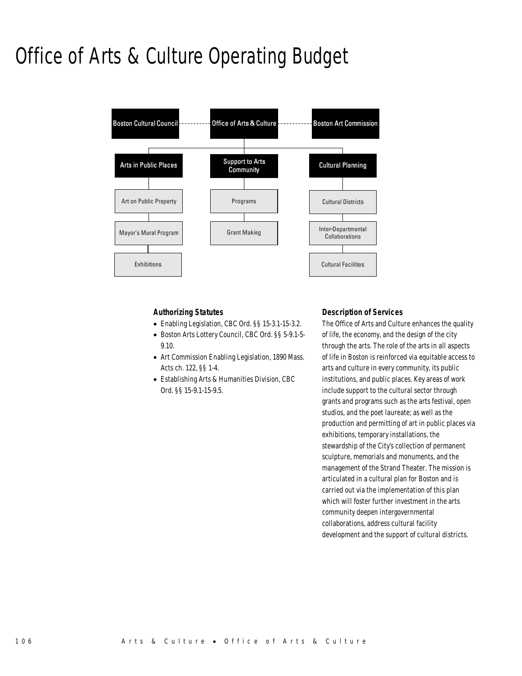# Office of Arts & Culture Operating Budget



# *Authorizing Statutes*

- Enabling Legislation, CBC Ord. §§ 15-3.1-15-3.2.
- Boston Arts Lottery Council, CBC Ord. §§ 5-9.1-5- 9.10.
- Art Commission Enabling Legislation, 1890 Mass. Acts ch. 122, §§ 1-4.
- Establishing Arts & Humanities Division, CBC Ord. §§ 15-9.1-15-9.5.

# *Description of Services*

The Office of Arts and Culture enhances the quality of life, the economy, and the design of the city through the arts. The role of the arts in all aspects of life in Boston is reinforced via equitable access to arts and culture in every community, its public institutions, and public places. Key areas of work include support to the cultural sector through grants and programs such as the arts festival, open studios, and the poet laureate; as well as the production and permitting of art in public places via exhibitions, temporary installations, the stewardship of the City's collection of permanent sculpture, memorials and monuments, and the management of the Strand Theater. The mission is articulated in a cultural plan for Boston and is carried out via the implementation of this plan which will foster further investment in the arts community deepen intergovernmental collaborations, address cultural facility development and the support of cultural districts.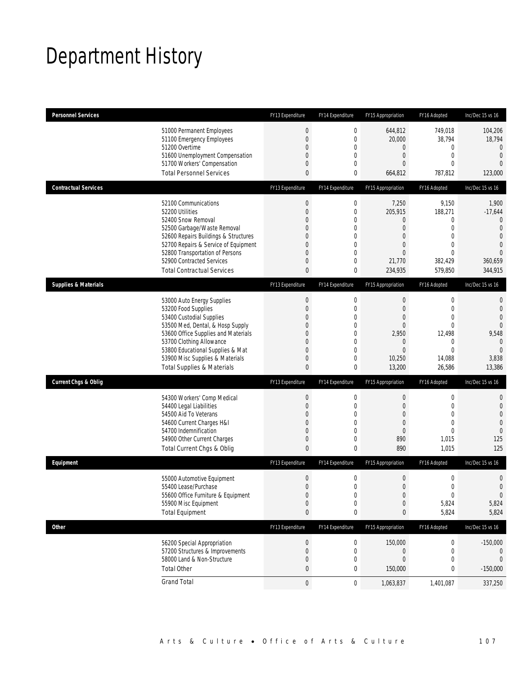# Department History

| <b>Personnel Services</b>       |                                       | FY13 Expenditure | FY14 Expenditure | FY15 Appropriation | FY16 Adopted     | Inc/Dec 15 vs 16 |
|---------------------------------|---------------------------------------|------------------|------------------|--------------------|------------------|------------------|
|                                 | 51000 Permanent Employees             | $\boldsymbol{0}$ | $\boldsymbol{0}$ | 644,812            | 749,018          | 104,206          |
|                                 | 51100 Emergency Employees             | $\overline{0}$   | $\mathbf 0$      | 20,000             | 38,794           | 18,794           |
|                                 | 51200 Overtime                        | $\overline{0}$   | 0                | $\mathbf 0$        | 0                | $\mathbf{0}$     |
|                                 | 51600 Unemployment Compensation       | 0                | $\overline{0}$   | $\mathbf 0$        | $\boldsymbol{0}$ | $\mathbf{0}$     |
|                                 | 51700 Workers' Compensation           | 0                | 0                | $\theta$           | $\mathbf{0}$     | $\overline{0}$   |
|                                 | <b>Total Personnel Services</b>       | $\mathbf{0}$     | 0                | 664,812            | 787,812          | 123,000          |
| <b>Contractual Services</b>     |                                       | FY13 Expenditure | FY14 Expenditure | FY15 Appropriation | FY16 Adopted     | Inc/Dec 15 vs 16 |
|                                 | 52100 Communications                  | $\boldsymbol{0}$ | $\mathbf 0$      | 7,250              | 9,150            | 1,900            |
|                                 | 52200 Utilities                       | $\boldsymbol{0}$ | $\mathbf 0$      | 205,915            | 188,271          | $-17,644$        |
|                                 | 52400 Snow Removal                    | $\Omega$         | 0                | $\overline{0}$     | 0                | $\mathbf{0}$     |
|                                 | 52500 Garbage/Waste Removal           | $\Omega$         | 0                | $\theta$           | $\mathbf{0}$     | $\overline{0}$   |
|                                 | 52600 Repairs Buildings & Structures  | $\Omega$         | $\overline{0}$   | $\theta$           | $\mathbf{0}$     | $\mathbf 0$      |
|                                 | 52700 Repairs & Service of Equipment  | 0                | 0                | $\theta$           | $\mathbf{0}$     | $\mathbf{0}$     |
|                                 | 52800 Transportation of Persons       | 0                | $\overline{0}$   | $\overline{0}$     | $\overline{0}$   | $\overline{0}$   |
|                                 | 52900 Contracted Services             | 0                | 0                | 21,770             | 382,429          | 360,659          |
|                                 | <b>Total Contractual Services</b>     | 0                | 0                | 234,935            | 579,850          | 344,915          |
| <b>Supplies &amp; Materials</b> |                                       | FY13 Expenditure | FY14 Expenditure | FY15 Appropriation | FY16 Adopted     | Inc/Dec 15 vs 16 |
|                                 | 53000 Auto Energy Supplies            | $\boldsymbol{0}$ | 0                | $\mathbf 0$        | $\boldsymbol{0}$ | 0                |
|                                 | 53200 Food Supplies                   | $\boldsymbol{0}$ | $\mathbf 0$      | $\mathbf 0$        | $\mathbf 0$      | $\mathbf{0}$     |
|                                 | 53400 Custodial Supplies              | 0                | 0                | $\theta$           | $\overline{0}$   | $\overline{0}$   |
|                                 | 53500 Med, Dental, & Hosp Supply      | $\Omega$         | $\overline{0}$   | $\theta$           | $\mathbf{0}$     | $\overline{0}$   |
|                                 | 53600 Office Supplies and Materials   | $\Omega$         | $\overline{0}$   | 2,950              | 12,498           | 9,548            |
|                                 | 53700 Clothing Allowance              | $\Omega$         | 0                | $\mathbf 0$        | 0                | $\mathbf{0}$     |
|                                 | 53800 Educational Supplies & Mat      | 0                | $\overline{0}$   | $\overline{0}$     | $\overline{0}$   | $\overline{0}$   |
|                                 | 53900 Misc Supplies & Materials       | 0                | 0                | 10,250             | 14,088           | 3,838            |
|                                 | <b>Total Supplies &amp; Materials</b> | $\mathbf{0}$     | 0                | 13,200             | 26,586           | 13,386           |
| <b>Current Chgs &amp; Oblig</b> |                                       | FY13 Expenditure | FY14 Expenditure | FY15 Appropriation | FY16 Adopted     | Inc/Dec 15 vs 16 |
|                                 | 54300 Workers' Comp Medical           | $\boldsymbol{0}$ | 0                | $\boldsymbol{0}$   | $\boldsymbol{0}$ | 0                |
|                                 | 54400 Legal Liabilities               | 0                | $\overline{0}$   | $\theta$           | $\mathbf 0$      | $\mathbf 0$      |
|                                 | 54500 Aid To Veterans                 | 0                | $\overline{0}$   | $\overline{0}$     | $\overline{0}$   | $\overline{0}$   |
|                                 | 54600 Current Charges H&I             | 0                | 0                | $\theta$           | $\overline{0}$   | $\overline{0}$   |
|                                 | 54700 Indemnification                 | $\overline{0}$   | $\overline{0}$   | $\overline{0}$     | $\mathbf{0}$     | $\overline{0}$   |
|                                 | 54900 Other Current Charges           | 0                | 0                | 890                | 1,015            | 125              |
|                                 | Total Current Chgs & Oblig            | $\mathbf{0}$     | 0                | 890                | 1,015            | 125              |
| Equipment                       |                                       | FY13 Expenditure | FY14 Expenditure | FY15 Appropriation | FY16 Adopted     | Inc/Dec 15 vs 16 |
|                                 | 55000 Automotive Equipment            | $\boldsymbol{0}$ | $\mathbf 0$      | $\boldsymbol{0}$   | $\mathbf 0$      | $\mathbf 0$      |
|                                 | 55400 Lease/Purchase                  | $\Omega$         | $\overline{0}$   | $\Omega$           | $\theta$         | $\Omega$         |
|                                 | 55600 Office Furniture & Equipment    | $\boldsymbol{0}$ | $\boldsymbol{0}$ | $\theta$           | $\boldsymbol{0}$ | $\boldsymbol{0}$ |
|                                 | 55900 Misc Equipment                  | 0                | $\boldsymbol{0}$ | $\theta$           | 5,824            | 5,824            |
|                                 | <b>Total Equipment</b>                | $\pmb{0}$        | 0                | $\pmb{0}$          | 5,824            | 5,824            |
| <b>Other</b>                    |                                       | FY13 Expenditure | FY14 Expenditure | FY15 Appropriation | FY16 Adopted     | Inc/Dec 15 vs 16 |
|                                 | 56200 Special Appropriation           | 0                | 0                | 150,000            | 0                | $-150,000$       |
|                                 | 57200 Structures & Improvements       | $\boldsymbol{0}$ | 0                | $\theta$           | 0                | 0                |
|                                 | 58000 Land & Non-Structure            | 0                | 0                | $\mathbf 0$        | 0                | $\mathbf 0$      |
|                                 | <b>Total Other</b>                    | $\bf{0}$         | 0                | 150,000            | 0                | $-150,000$       |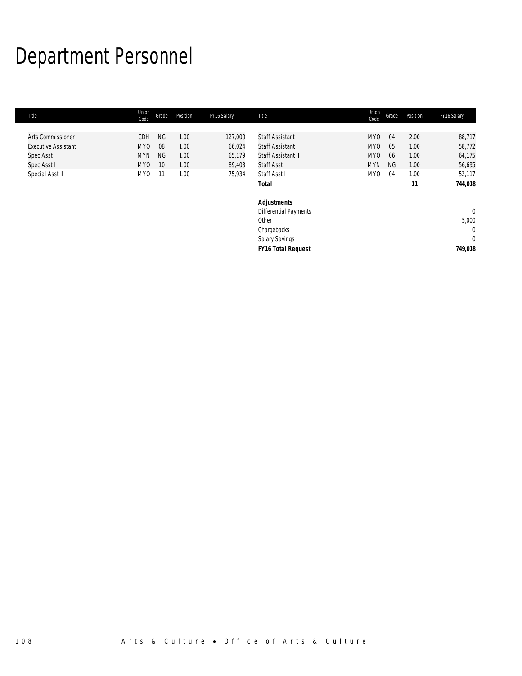# Department Personnel

| Title                      | Union<br>Code   | Grade     | Position | FY16 Salary | Title                        | Union<br>Code | Grade     | Position | FY16 Salary  |
|----------------------------|-----------------|-----------|----------|-------------|------------------------------|---------------|-----------|----------|--------------|
|                            |                 |           |          |             |                              |               |           |          |              |
| <b>Arts Commissioner</b>   | CDH             | <b>NG</b> | 1.00     | 127,000     | <b>Staff Assistant</b>       | MY0           | 04        | 2.00     | 88,717       |
| <b>Executive Assistant</b> | MY <sub>0</sub> | 08        | 1.00     | 66,024      | Staff Assistant I            | MY0           | 05        | 1.00     | 58,772       |
| Spec Asst                  | <b>MYN</b>      | <b>NG</b> | 1.00     | 65,179      | Staff Assistant II           | MYO           | 06        | 1.00     | 64,175       |
| Spec Asst I                | MY0             | 10        | 1.00     | 89,403      | <b>Staff Asst</b>            | <b>MYN</b>    | <b>NG</b> | 1.00     | 56,695       |
| Special Asst II            | MY <sub>0</sub> | 11        | 1.00     | 75,934      | Staff Asst I                 | MY0           | 04        | 1.00     | 52,117       |
|                            |                 |           |          |             | <b>Total</b>                 |               |           | 11       | 744,018      |
|                            |                 |           |          |             | <b>Adjustments</b>           |               |           |          |              |
|                            |                 |           |          |             | <b>Differential Payments</b> |               |           |          | $\mathbf{0}$ |
|                            |                 |           |          |             | Other                        |               |           |          | 5,000        |
|                            |                 |           |          |             | Chargebacks                  |               |           |          | $\mathbf{0}$ |
|                            |                 |           |          |             | Salary Savings               |               |           |          | $\mathbf{0}$ |
|                            |                 |           |          |             | <b>FY16 Total Request</b>    |               |           |          | 749,018      |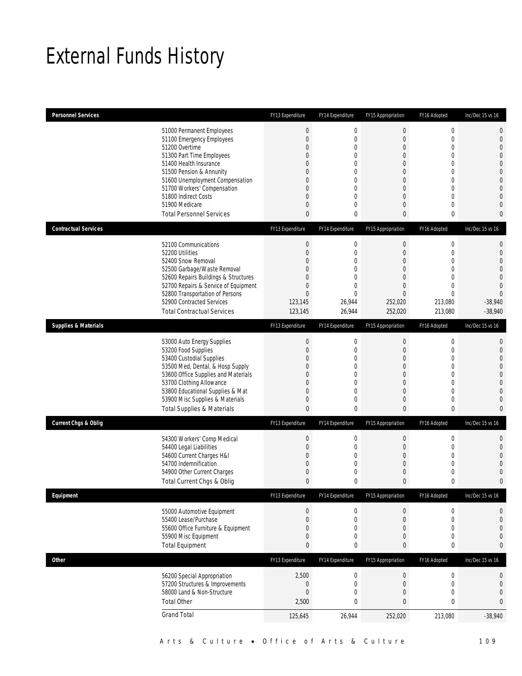# External Funds History

| <b>Personnel Services</b>       |                                                                                                                                                                                                                                                                                                            | FY13 Expenditure                                                                                           | FY14 Expenditure                                                                                          | FY15 Appropriation                                                                                                                                                                  | FY16 Adopted                                                                                                                                                             | Inc/Dec 15 vs 16                                                                                                                                                                    |
|---------------------------------|------------------------------------------------------------------------------------------------------------------------------------------------------------------------------------------------------------------------------------------------------------------------------------------------------------|------------------------------------------------------------------------------------------------------------|-----------------------------------------------------------------------------------------------------------|-------------------------------------------------------------------------------------------------------------------------------------------------------------------------------------|--------------------------------------------------------------------------------------------------------------------------------------------------------------------------|-------------------------------------------------------------------------------------------------------------------------------------------------------------------------------------|
|                                 | 51000 Permanent Employees<br>51100 Emergency Employees<br>51200 Overtime<br>51300 Part Time Employees<br>51400 Health Insurance<br>51500 Pension & Annunity<br>51600 Unemployment Compensation<br>51700 Workers' Compensation<br>51800 Indirect Costs<br>51900 Medicare<br><b>Total Personnel Services</b> | $\boldsymbol{0}$<br>$\boldsymbol{0}$<br>0<br>0<br>0<br>0<br>0<br>0<br>0<br>0<br>0                          | $\boldsymbol{0}$<br>0<br>0<br>0<br>0<br>$\mathbf 0$<br>0<br>0<br>$\overline{0}$<br>0<br>0                 | $\boldsymbol{0}$<br>$\boldsymbol{0}$<br>$\mathbf 0$<br>$\overline{0}$<br>$\overline{0}$<br>$\mathbf 0$<br>$\overline{0}$<br>$\overline{0}$<br>$\overline{0}$<br>$\overline{0}$<br>0 | $\boldsymbol{0}$<br>$\mathbf 0$<br>$\mathbf 0$<br>$\mathbf{0}$<br>$\mathbf{0}$<br>$\mathbf 0$<br>$\mathbf{0}$<br>$\mathbf{0}$<br>$\mathbf{0}$<br>$\mathbf 0$<br>$\bf{0}$ | $\mathbf 0$<br>$\mathbf 0$<br>$\overline{0}$<br>$\mathbf{0}$<br>$\overline{0}$<br>$\overline{0}$<br>$\mathbf 0$<br>$\mathbf{0}$<br>$\overline{0}$<br>$\overline{0}$<br>$\mathbf{0}$ |
| <b>Contractual Services</b>     |                                                                                                                                                                                                                                                                                                            | FY13 Expenditure                                                                                           | FY14 Expenditure                                                                                          | FY15 Appropriation                                                                                                                                                                  | FY16 Adopted                                                                                                                                                             | Inc/Dec 15 vs 16                                                                                                                                                                    |
|                                 | 52100 Communications<br>52200 Utilities<br>52400 Snow Removal<br>52500 Garbage/Waste Removal<br>52600 Repairs Buildings & Structures<br>52700 Repairs & Service of Equipment<br>52800 Transportation of Persons<br>52900 Contracted Services<br><b>Total Contractual Services</b>                          | $\boldsymbol{0}$<br>$\boldsymbol{0}$<br>0<br>0<br>0<br>$\mathbf 0$<br>$\overline{0}$<br>123,145<br>123,145 | $\boldsymbol{0}$<br>0<br>0<br>$\overline{0}$<br>$\overline{0}$<br>0<br>$\overline{0}$<br>26,944<br>26,944 | $\boldsymbol{0}$<br>$\boldsymbol{0}$<br>$\overline{0}$<br>$\overline{0}$<br>$\overline{0}$<br>$\mathbf 0$<br>$\mathbf{0}$<br>252.020<br>252,020                                     | $\boldsymbol{0}$<br>$\mathbf 0$<br>$\mathbf{0}$<br>$\mathbf 0$<br>$\mathbf{0}$<br>$\mathbf 0$<br>$\mathbf{0}$<br>213,080<br>213,080                                      | 0<br>$\mathbf 0$<br>$\overline{0}$<br>$\overline{0}$<br>$\mathbf 0$<br>$\mathbf{0}$<br>$\overline{0}$<br>$-38,940$<br>$-38,940$                                                     |
| <b>Supplies &amp; Materials</b> |                                                                                                                                                                                                                                                                                                            | FY13 Expenditure                                                                                           | FY14 Expenditure                                                                                          | FY15 Appropriation                                                                                                                                                                  | FY16 Adopted                                                                                                                                                             | Inc/Dec 15 vs 16                                                                                                                                                                    |
|                                 | 53000 Auto Energy Supplies<br>53200 Food Supplies<br>53400 Custodial Supplies<br>53500 Med, Dental, & Hosp Supply<br>53600 Office Supplies and Materials<br>53700 Clothing Allowance<br>53800 Educational Supplies & Mat<br>53900 Misc Supplies & Materials<br><b>Total Supplies &amp; Materials</b>       | $\boldsymbol{0}$<br>$\boldsymbol{0}$<br>0<br>0<br>0<br>0<br>0<br>0<br>$\mathbf{0}$                         | $\boldsymbol{0}$<br>0<br>0<br>0<br>$\overline{0}$<br>0<br>0<br>0<br>0                                     | $\boldsymbol{0}$<br>$\boldsymbol{0}$<br>$\overline{0}$<br>$\overline{0}$<br>$\overline{0}$<br>$\overline{0}$<br>$\overline{0}$<br>$\overline{0}$<br>$\mathbf{0}$                    | $\boldsymbol{0}$<br>$\mathbf 0$<br>$\mathbf{0}$<br>$\mathbf{0}$<br>$\mathbf{0}$<br>$\mathbf 0$<br>$\mathbf 0$<br>$\mathbf 0$<br>$\bf{0}$                                 | $\mathbf 0$<br>$\mathbf 0$<br>$\overline{0}$<br>$\overline{0}$<br>$\mathbf 0$<br>$\overline{0}$<br>$\overline{0}$<br>$\overline{0}$<br>$\mathbf{0}$                                 |
| <b>Current Chgs &amp; Oblig</b> |                                                                                                                                                                                                                                                                                                            | FY13 Expenditure                                                                                           | FY14 Expenditure                                                                                          | FY15 Appropriation                                                                                                                                                                  | FY16 Adopted                                                                                                                                                             | Inc/Dec 15 vs 16                                                                                                                                                                    |
|                                 | 54300 Workers' Comp Medical<br>54400 Legal Liabilities<br>54600 Current Charges H&I<br>54700 Indemnification<br>54900 Other Current Charges<br>Total Current Chgs & Oblig                                                                                                                                  | $\boldsymbol{0}$<br>$\boldsymbol{0}$<br>0<br>0<br>0<br>$\mathbf{0}$                                        | $\boldsymbol{0}$<br>0<br>0<br>0<br>$\mathbf 0$<br>0                                                       | $\boldsymbol{0}$<br>$\boldsymbol{0}$<br>$\overline{0}$<br>$\overline{0}$<br>$\mathbf 0$<br>0                                                                                        | $\boldsymbol{0}$<br>$\mathbf 0$<br>$\mathbf{0}$<br>$\mathbf 0$<br>$\mathbf 0$<br>$\mathbf{0}$                                                                            | 0<br>$\mathbf 0$<br>$\overline{0}$<br>$\overline{0}$<br>$\mathbf 0$<br>$\mathbf{0}$                                                                                                 |
| Equipment                       |                                                                                                                                                                                                                                                                                                            | FY13 Expenditure                                                                                           | FY14 Expenditure                                                                                          | FY15 Appropriation                                                                                                                                                                  | FY16 Adopted                                                                                                                                                             | Inc/Dec 15 vs 16                                                                                                                                                                    |
|                                 | 55000 Automotive Equipment<br>55400 Lease/Purchase<br>55600 Office Furniture & Equipment<br>55900 Misc Equipment<br><b>Total Equipment</b>                                                                                                                                                                 | $\theta$<br>$\boldsymbol{0}$<br>0<br>0<br>0                                                                | 0<br>$\boldsymbol{0}$<br>0<br>0<br>0                                                                      | $\boldsymbol{0}$<br>0<br>$\boldsymbol{0}$<br>0<br>0                                                                                                                                 | 0<br>$\boldsymbol{0}$<br>$\mathbf 0$<br>$\boldsymbol{0}$<br>$\pmb{0}$                                                                                                    | $\mathbf 0$<br>$\mathbf 0$<br>$\mathbf 0$<br>$\mathbf 0$<br>0                                                                                                                       |
| Other                           |                                                                                                                                                                                                                                                                                                            | FY13 Expenditure                                                                                           | FY14 Expenditure                                                                                          | FY15 Appropriation                                                                                                                                                                  | FY16 Adopted                                                                                                                                                             | Inc/Dec 15 vs 16                                                                                                                                                                    |
|                                 | 56200 Special Appropriation<br>57200 Structures & Improvements<br>58000 Land & Non-Structure<br><b>Total Other</b>                                                                                                                                                                                         | 2,500<br>$\boldsymbol{0}$<br>$\boldsymbol{0}$<br>2,500                                                     | $\boldsymbol{0}$<br>$\boldsymbol{0}$<br>0<br>0                                                            | $\boldsymbol{0}$<br>$\boldsymbol{0}$<br>$\mathbf 0$<br>$\bf 0$                                                                                                                      | $\boldsymbol{0}$<br>$\mathbf 0$<br>$\mathbf 0$<br>$\pmb{0}$                                                                                                              | 0<br>$\mathbf 0$<br>$\mathbf 0$<br>0                                                                                                                                                |
|                                 | <b>Grand Total</b>                                                                                                                                                                                                                                                                                         | 125,645                                                                                                    | 26,944                                                                                                    | 252,020                                                                                                                                                                             | 213,080                                                                                                                                                                  | $-38,940$                                                                                                                                                                           |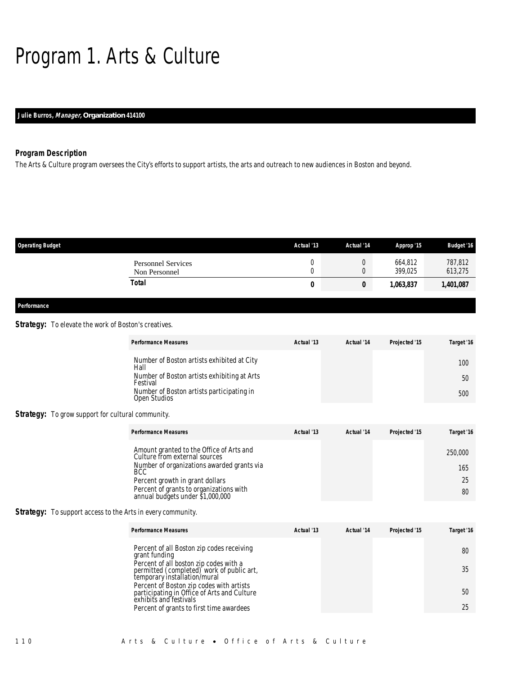# Program 1. Arts & Culture

# *Julie Burros, Manager, Organization 414100*

# *Program Description*

The Arts & Culture program oversees the City's efforts to support artists, the arts and outreach to new audiences in Boston and beyond.

| <b>Operating Budget</b>                    | Actual '13 | Actual '14 | Approp '15         | <b>Budget '16</b>  |
|--------------------------------------------|------------|------------|--------------------|--------------------|
| <b>Personnel Services</b><br>Non Personnel | U<br>U     |            | 664,812<br>399.025 | 787,812<br>613,275 |
| Total                                      | U          | 0          | 1,063,837          | 1,401,087          |
|                                            |            |            |                    |                    |

# *Performance*

# **Strategy:** To elevate the work of Boston's creatives.

| <b>Performance Measures</b>                               | Actual '13 | Actual '14 | Projected '15 | Target '16 |
|-----------------------------------------------------------|------------|------------|---------------|------------|
| Number of Boston artists exhibited at City<br>Hall        |            |            |               | 100        |
| Number of Boston artists exhibiting at Arts<br>Festival   |            |            |               | 50         |
| Number of Boston artists participating in<br>Open Studios |            |            |               | 500        |

### *Strategy:* To grow support for cultural community.

| <b>Performance Measures</b>                                                 | Actual '13 | Actual '14 | Projected '15 | Target '16 |
|-----------------------------------------------------------------------------|------------|------------|---------------|------------|
| Amount granted to the Office of Arts and<br>Culture from external sources   |            |            |               | 250,000    |
| Number of organizations awarded grants via<br><b>BCC</b>                    |            |            |               | 165        |
| Percent growth in grant dollars                                             |            |            |               | 25         |
| Percent of grants to organizations with<br>annual budgets under \$1,000,000 |            |            |               | 80         |

### **Strategy:** To support access to the Arts in every community.

| <b>Performance Measures</b>                                                                                         | Actual '13 | Actual '14 | Projected '15 | Target '16 |
|---------------------------------------------------------------------------------------------------------------------|------------|------------|---------------|------------|
| Percent of all Boston zip codes receiving<br>grant funding                                                          |            |            |               | 80         |
| Percent of all boston zip codes with a<br>permitted (completed) work of public art,<br>temporary installation/mural |            |            |               | 35         |
| Percent of Boston zip codes with artists<br>participating in Office of Arts and Culture<br>exhibits and festivals   |            |            |               | 50         |
| Percent of grants to first time awardees                                                                            |            |            |               | 25         |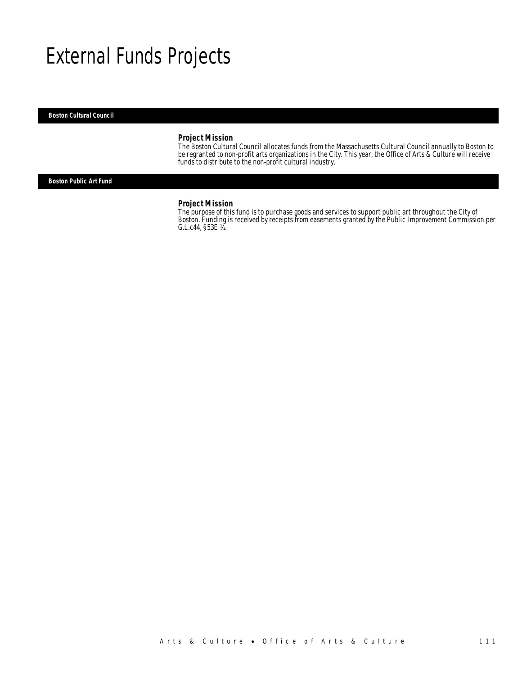# External Funds Projects

#### *Boston Cultural Council*

# *Project Mission*

The Boston Cultural Council allocates funds from the Massachusetts Cultural Council annually to Boston to be regranted to non-profit arts organizations in the City. This year, the Office of Arts & Culture will receive funds to distribute to the non-profit cultural industry.

*Boston Public Art Fund* 

#### *Project Mission*

The purpose of this fund is to purchase goods and services to support public art throughout the City of Boston. Funding is received by receipts from easements granted by the Public Improvement Commission per G.L.c44, §53E ½.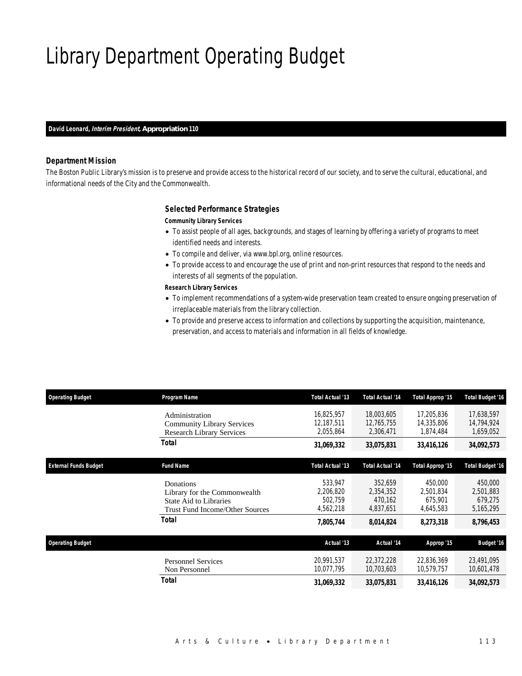# Library Department Operating Budget

*David Leonard, Interim President, Appropriation 110* 

## *Department Mission*

The Boston Public Library's mission is to preserve and provide access to the historical record of our society, and to serve the cultural, educational, and informational needs of the City and the Commonwealth.

### *Selected Performance Strategies*

#### *Community Library Services*

- To assist people of all ages, backgrounds, and stages of learning by offering a variety of programs to meet identified needs and interests.
- To compile and deliver, via www.bpl.org, online resources.
- To provide access to and encourage the use of print and non-print resources that respond to the needs and interests of all segments of the population.

#### *Research Library Services*

- To implement recommendations of a system-wide preservation team created to ensure ongoing preservation of irreplaceable materials from the library collection.
- To provide and preserve access to information and collections by supporting the acquisition, maintenance, preservation, and access to materials and information in all fields of knowledge.

| <b>Operating Budget</b>      | Program Name                                                                                                  | <b>Total Actual '13</b>                      | <b>Total Actual '14</b>                      | Total Approp '15                             | <b>Total Budget '16</b>                      |
|------------------------------|---------------------------------------------------------------------------------------------------------------|----------------------------------------------|----------------------------------------------|----------------------------------------------|----------------------------------------------|
|                              | Administration<br><b>Community Library Services</b><br><b>Research Library Services</b>                       | 16.825.957<br>12,187,511<br>2,055,864        | 18,003,605<br>12,765,755<br>2,306,471        | 17,205,836<br>14,335,806<br>1,874,484        | 17,638,597<br>14,794,924<br>1,659,052        |
|                              | Total                                                                                                         | 31,069,332                                   | 33,075,831                                   | 33,416,126                                   | 34,092,573                                   |
| <b>External Funds Budget</b> | <b>Fund Name</b>                                                                                              | Total Actual '13                             | <b>Total Actual '14</b>                      | Total Approp '15                             | <b>Total Budget '16</b>                      |
|                              | Donations<br>Library for the Commonwealth<br>State Aid to Libraries<br><b>Trust Fund Income/Other Sources</b> | 533,947<br>2,206,820<br>502,759<br>4,562,218 | 352,659<br>2,354,352<br>470.162<br>4,837,651 | 450,000<br>2,501,834<br>675,901<br>4,645,583 | 450,000<br>2,501,883<br>679,275<br>5,165,295 |
|                              | <b>Total</b>                                                                                                  | 7,805,744                                    | 8,014,824                                    | 8,273,318                                    | 8,796,453                                    |
| <b>Operating Budget</b>      |                                                                                                               | Actual '13                                   | Actual '14                                   | Approp '15                                   | <b>Budget '16</b>                            |
|                              | <b>Personnel Services</b><br>Non Personnel                                                                    | 20,991,537<br>10,077,795                     | 22,372,228<br>10,703,603                     | 22,836,369<br>10.579.757                     | 23,491,095<br>10,601,478                     |
|                              | Total                                                                                                         | 31,069,332                                   | 33,075,831                                   | 33,416,126                                   | 34,092,573                                   |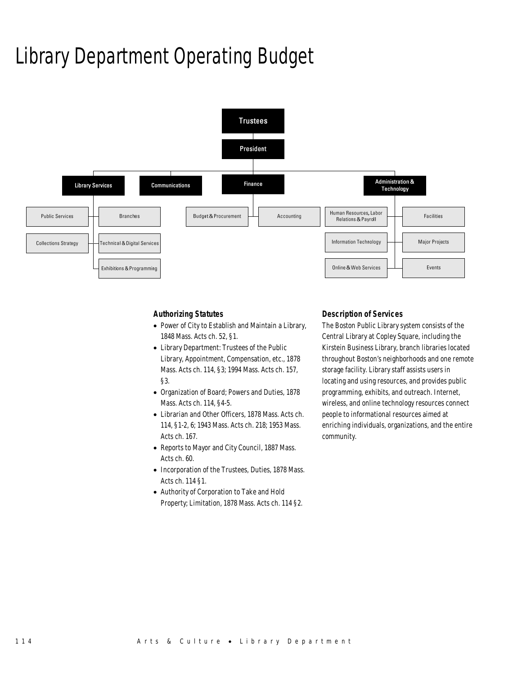# Library Department Operating Budget



# *Authorizing Statutes*

- Power of City to Establish and Maintain a Library, 1848 Mass. Acts ch. 52, §1.
- Library Department: Trustees of the Public Library, Appointment, Compensation, etc., 1878 Mass. Acts ch. 114, §3; 1994 Mass. Acts ch. 157, §3.
- Organization of Board; Powers and Duties, 1878 Mass. Acts ch. 114, §4-5.
- Librarian and Other Officers, 1878 Mass. Acts ch. 114, §1-2, 6; 1943 Mass. Acts ch. 218; 1953 Mass. Acts ch. 167.
- Reports to Mayor and City Council, 1887 Mass. Acts ch. 60.
- Incorporation of the Trustees, Duties, 1878 Mass. Acts ch. 114 §1.
- Authority of Corporation to Take and Hold Property; Limitation, 1878 Mass. Acts ch. 114 §2.

# *Description of Services*

The Boston Public Library system consists of the Central Library at Copley Square, including the Kirstein Business Library, branch libraries located throughout Boston's neighborhoods and one remote storage facility. Library staff assists users in locating and using resources, and provides public programming, exhibits, and outreach. Internet, wireless, and online technology resources connect people to informational resources aimed at enriching individuals, organizations, and the entire community.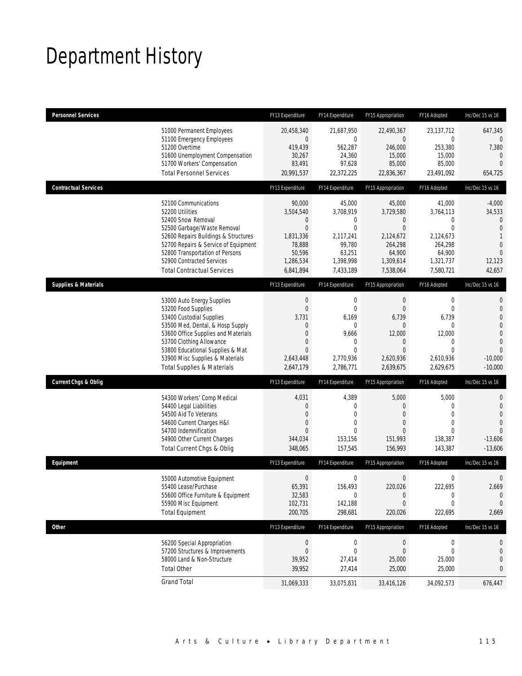# Department History

| <b>Personnel Services</b>       |                                                                                                                                                                                                                                                                                                      | FY13 Expenditure                                                                                   | FY14 Expenditure                                                                                                          | FY15 Appropriation                                                                                                | FY16 Adopted                                                                                                      | Inc/Dec 15 vs 16                                                                                                                        |
|---------------------------------|------------------------------------------------------------------------------------------------------------------------------------------------------------------------------------------------------------------------------------------------------------------------------------------------------|----------------------------------------------------------------------------------------------------|---------------------------------------------------------------------------------------------------------------------------|-------------------------------------------------------------------------------------------------------------------|-------------------------------------------------------------------------------------------------------------------|-----------------------------------------------------------------------------------------------------------------------------------------|
|                                 | 51000 Permanent Employees<br>51100 Emergency Employees<br>51200 Overtime<br>51600 Unemployment Compensation<br>51700 Workers' Compensation<br><b>Total Personnel Services</b>                                                                                                                        | 20,458,340<br>0<br>419,439<br>30,267<br>83,491<br>20,991,537                                       | 21,687,950<br>0<br>562,287<br>24,360<br>97,628<br>22,372,225                                                              | 22,490,367<br>$\overline{0}$<br>246,000<br>15,000<br>85,000<br>22,836,367                                         | 23,137,712<br>0<br>253,380<br>15,000<br>85,000<br>23,491,092                                                      | 647,345<br>$\theta$<br>7,380<br>$\mathbf{0}$<br>$\overline{0}$<br>654,725                                                               |
| <b>Contractual Services</b>     |                                                                                                                                                                                                                                                                                                      | FY13 Expenditure                                                                                   | FY14 Expenditure                                                                                                          | FY15 Appropriation                                                                                                | FY16 Adopted                                                                                                      | Inc/Dec 15 vs 16                                                                                                                        |
|                                 | 52100 Communications<br>52200 Utilities<br>52400 Snow Removal<br>52500 Garbage/Waste Removal<br>52600 Repairs Buildings & Structures<br>52700 Repairs & Service of Equipment<br>52800 Transportation of Persons<br>52900 Contracted Services<br><b>Total Contractual Services</b>                    | 90,000<br>3,504,540<br>0<br>$\mathbf 0$<br>1,831,336<br>78,888<br>50,596<br>1,286,534<br>6,841,894 | 45,000<br>3,708,919<br>0<br>$\overline{0}$<br>2,117,241<br>99,780<br>63,251<br>1,398,998<br>7,433,189                     | 45,000<br>3,729,580<br>$\theta$<br>$\overline{0}$<br>2,124,672<br>264,298<br>64,900<br>1,309,614<br>7,538,064     | 41,000<br>3,764,113<br>$\mathbf 0$<br>$\overline{0}$<br>2,124,673<br>264,298<br>64,900<br>1,321,737<br>7,580,721  | $-4,000$<br>34,533<br>$\mathbf{0}$<br>$\overline{0}$<br>1<br>$\overline{0}$<br>$\overline{0}$<br>12,123<br>42,657                       |
| <b>Supplies &amp; Materials</b> |                                                                                                                                                                                                                                                                                                      | FY13 Expenditure                                                                                   | FY14 Expenditure                                                                                                          | FY15 Appropriation                                                                                                | FY16 Adopted                                                                                                      | Inc/Dec 15 vs 16                                                                                                                        |
|                                 | 53000 Auto Energy Supplies<br>53200 Food Supplies<br>53400 Custodial Supplies<br>53500 Med, Dental, & Hosp Supply<br>53600 Office Supplies and Materials<br>53700 Clothing Allowance<br>53800 Educational Supplies & Mat<br>53900 Misc Supplies & Materials<br><b>Total Supplies &amp; Materials</b> | $\boldsymbol{0}$<br>0<br>3,731<br>0<br>$\Omega$<br>0<br>$\overline{0}$<br>2,643,448<br>2,647,179   | $\mathbf 0$<br>$\mathbf{0}$<br>6,169<br>$\mathbf{0}$<br>9,666<br>$\mathbf{0}$<br>$\overline{0}$<br>2,770,936<br>2,786,771 | $\theta$<br>$\theta$<br>6,739<br>$\overline{0}$<br>12,000<br>$\theta$<br>$\overline{0}$<br>2,620,936<br>2,639,675 | $\boldsymbol{0}$<br>$\mathbf{0}$<br>6,739<br>$\mathbf 0$<br>12,000<br>0<br>$\mathbf{0}$<br>2,610,936<br>2,629,675 | $\mathbf{0}$<br>$\mathbf{0}$<br>$\overline{0}$<br>$\overline{0}$<br>$\mathbf 0$<br>$\overline{0}$<br>$\Omega$<br>$-10,000$<br>$-10,000$ |
| <b>Current Chgs &amp; Oblig</b> |                                                                                                                                                                                                                                                                                                      | FY13 Expenditure                                                                                   | FY14 Expenditure                                                                                                          | FY15 Appropriation                                                                                                | FY16 Adopted                                                                                                      | Inc/Dec 15 vs 16                                                                                                                        |
|                                 | 54300 Workers' Comp Medical<br>54400 Legal Liabilities<br>54500 Aid To Veterans<br>54600 Current Charges H&I<br>54700 Indemnification<br>54900 Other Current Charges<br>Total Current Chgs & Oblig                                                                                                   | 4,031<br>0<br>0<br>0<br>$\Omega$<br>344,034<br>348,065                                             | 4,389<br>$\mathbf{0}$<br>$\mathbf{0}$<br>0<br>$\theta$<br>153,156<br>157,545                                              | 5,000<br>$\theta$<br>$\overline{0}$<br>$\overline{0}$<br>$\Omega$<br>151,993<br>156,993                           | 5,000<br>$\mathbf 0$<br>$\mathbf{0}$<br>$\mathbf{0}$<br>$\Omega$<br>138,387<br>143,387                            | 0<br>$\mathbf 0$<br>$\overline{0}$<br>$\overline{0}$<br>$\Omega$<br>$-13,606$<br>$-13,606$                                              |
| Equipment                       |                                                                                                                                                                                                                                                                                                      | FY13 Expenditure                                                                                   | FY14 Expenditure                                                                                                          | FY15 Appropriation                                                                                                | FY16 Adopted                                                                                                      | Inc/Dec 15 vs 16                                                                                                                        |
|                                 | 55000 Automotive Equipment<br>55400 Lease/Purchase<br>55600 Office Furniture & Equipment<br>55900 Misc Equipment<br><b>Total Equipment</b>                                                                                                                                                           | $\boldsymbol{0}$<br>65,391<br>32,583<br>102,731<br>200,705                                         | 0<br>156,493<br>$\mathbf 0$<br>142,188<br>298,681                                                                         | $\mathbf 0$<br>220,026<br>$\theta$<br>$\theta$<br>220,026                                                         | 0<br>222,695<br>0<br>$\mathbf 0$<br>222,695                                                                       | $\mathbf 0$<br>2,669<br>$\mathbf 0$<br>$\mathbf 0$<br>2,669                                                                             |
| <b>Other</b>                    |                                                                                                                                                                                                                                                                                                      | FY13 Expenditure                                                                                   | FY14 Expenditure                                                                                                          | FY15 Appropriation                                                                                                | FY16 Adopted                                                                                                      | Inc/Dec 15 vs 16                                                                                                                        |
|                                 | 56200 Special Appropriation<br>57200 Structures & Improvements<br>58000 Land & Non-Structure<br><b>Total Other</b>                                                                                                                                                                                   | $\boldsymbol{0}$<br>0<br>39,952<br>39,952                                                          | $\boldsymbol{0}$<br>$\mathbf 0$<br>27,414<br>27,414                                                                       | $\boldsymbol{0}$<br>$\mathbf 0$<br>25,000<br>25,000                                                               | 0<br>$\mathbf 0$<br>25,000<br>25,000                                                                              | 0<br>$\theta$<br>0<br>0                                                                                                                 |
|                                 | <b>Grand Total</b>                                                                                                                                                                                                                                                                                   | 31,069,333                                                                                         | 33,075,831                                                                                                                | 33,416,126                                                                                                        | 34,092,573                                                                                                        | 676,447                                                                                                                                 |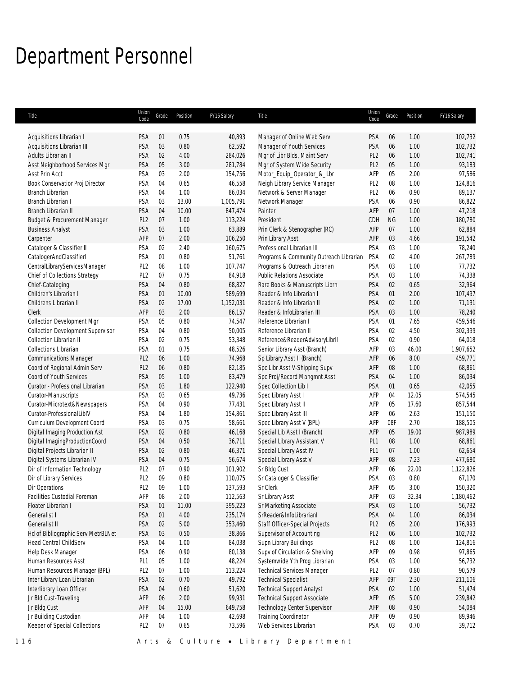# Department Personnel

| Title                                    | Union<br>Code   | Grade  | Position | FY16 Salary | Title                                   | Union<br>Code   | Grade     | Position | FY16 Salary |
|------------------------------------------|-----------------|--------|----------|-------------|-----------------------------------------|-----------------|-----------|----------|-------------|
|                                          |                 |        |          |             |                                         |                 |           |          |             |
| Acquisitions Librarian I                 | PSA             | 01     | 0.75     | 40,893      | Manager of Online Web Serv              | PSA             | 06        | 1.00     | 102,732     |
| Acquisitions Librarian III               | PSA             | 03     | 0.80     | 62,592      | Manager of Youth Services               | <b>PSA</b>      | 06        | 1.00     | 102,732     |
| Adults Librarian II                      | PSA             | 02     | 4.00     | 284,026     | Mgr of Libr Blds, Maint Serv            | PL <sub>2</sub> | 06        | 1.00     | 102,741     |
| Asst Neighborhood Services Mgr           | PSA             | 05     | 3.00     | 281,784     | Mgr of System Wide Security             | PL <sub>2</sub> | 05        | 1.00     | 93,183      |
| Asst Prin Acct                           | PSA             | 03     | 2.00     | 154,756     | Motor_Equip_Operator_&_Lbr              | AFP             | 05        | 2.00     | 97,586      |
| Book Conservatior Proj Director          | PSA             | 04     | 0.65     | 46,558      | Neigh Library Service Manager           | PL <sub>2</sub> | 08        | 1.00     | 124,816     |
| Branch Librarian                         | PSA             | 04     | 1.00     | 86,034      | Network & Server Manager                | PL <sub>2</sub> | 06        | 0.90     | 89,137      |
| Branch Librarian I                       | PSA             | 03     | 13.00    | 1,005,791   | Network Manager                         | PSA             | 06        | 0.90     | 86,822      |
| Branch Librarian II                      | PSA             | 04     | 10.00    | 847,474     | Painter                                 | AFP             | 07        | 1.00     | 47,218      |
| Budget & Procurement Manager             | PL <sub>2</sub> | 07     | 1.00     | 113,224     | President                               | CDH             | <b>NG</b> | 1.00     | 180,780     |
| <b>Business Analyst</b>                  | PSA             | 03     | 1.00     | 63,889      | Prin Clerk & Stenographer (RC)          | AFP             | 07        | 1.00     | 62,884      |
| Carpenter                                | AFP             | $07$   | 2.00     | 106,250     | Prin Library Asst                       | AFP             | 03        | 4.66     | 191,542     |
| Cataloger & Classifier II                | PSA             | 02     | 2.40     | 160,675     | Professional Librarian III              | PSA             | 03        | 1.00     | 78,240      |
| CatalogerAndClassifierI                  | PSA             | 01     | 0.80     | 51,761      | Programs & Community Outreach Librarian | PSA             | 02        | 4.00     | 267,789     |
| CentralLibraryServicesManager            | PL <sub>2</sub> | 08     | 1.00     | 107,747     | Programs & Outreach Librarian           | PSA             | 03        | 1.00     | 77,732      |
| Chief of Collections Strategy            | PL <sub>2</sub> | 07     | 0.75     | 84,918      | <b>Public Relations Associate</b>       | PSA             | 03        | 1.00     | 74,338      |
| Chief-Cataloging                         | PSA             | 04     | 0.80     | 68,827      | Rare Books & Manuscripts Librn          | PSA             | 02        | 0.65     | 32,964      |
| Children's Librarian I                   | PSA             | 01     | 10.00    | 589,699     | Reader & Info Librarian I               | PSA             | 01        | 2.00     | 107,497     |
| Childrens Librarian II                   | PSA             | 02     | 17.00    | 1,152,031   | Reader & Info Librarian II              | PSA             | 02        | 1.00     | 71,131      |
| Clerk                                    | AFP             | 03     | 2.00     | 86,157      | Reader & InfoLibrarian III              | PSA             | 03        | 1.00     | 78,240      |
| <b>Collection Development Mgr</b>        | PSA             | 05     | 0.80     | 74,547      | Reference Librarian I                   | PSA             | 01        | 7.65     | 459,546     |
| <b>Collection Development Supervisor</b> | PSA             | 04     | 0.80     | 50,005      | Reference Librarian II                  | PSA             | 02        | 4.50     | 302,399     |
| <b>Collection Librarian II</b>           | PSA             | 02     | 0.75     | 53,348      | Reference&ReaderAdvisoryLibrII          | PSA             | 02        | 0.90     | 64,018      |
| <b>Collections Librarian</b>             | PSA             | 01     | 0.75     | 48,526      | Senior Library Asst (Branch)            | AFP             | 03        | 46.00    | 1,907,652   |
| <b>Communications Manager</b>            | PL <sub>2</sub> | 06     | 1.00     | 74,968      | Sp Library Asst II (Branch)             | AFP             | 06        | 8.00     | 459,771     |
| Coord of Regional Admin Serv             | PL <sub>2</sub> | 06     | 0.80     | 82,185      | Spc Libr Asst V-Shipping Supv           | AFP             | 08        | 1.00     | 68,861      |
| Coord of Youth Services                  | PSA             | 05     | 1.00     | 83,479      | Spc Proj/Record Mangmnt Asst            | PSA             | 04        | 1.00     | 86,034      |
| Curator - Professional Librarian         | PSA             | 03     | 1.80     | 122,940     | Spec Collection Lib I                   | PSA             | 01        | 0.65     | 42,055      |
| Curator-Manuscripts                      | PSA             | 03     | 0.65     | 49,736      | Spec Library Asst I                     | AFP             | 04        | 12.05    | 574,545     |
| Curator-Microtext&Newspapers             | PSA             | 04     | 0.90     | 77,431      | Spec Library Asst II                    | AFP             | 05        | 17.60    | 857,544     |
| Curator-ProfessionalLiblV                | PSA             | 04     | 1.80     | 154,861     | Spec Library Asst III                   | AFP             | 06        | 2.63     | 151,150     |
| Curriculum Development Coord             | PSA             | 03     | 0.75     | 58,661      | Spec Library Asst V (BPL)               | AFP             | 08F       | 2.70     | 188,505     |
| Digital Imaging Production Ast           | PSA             | 02     | 0.80     | 46,168      | Special Lib Asst I (Branch)             | AFP             | 05        | 19.00    | 987,989     |
| Digital ImagingProductionCoord           | PSA             | 04     | 0.50     | 36,711      | Special Library Assistant V             | PL <sub>1</sub> | 08        | 1.00     | 68,861      |
| Digital Projects Librarian II            | PSA             | 02     | 0.80     | 46,371      | Special Library Asst IV                 | PL <sub>1</sub> | 07        | 1.00     | 62,654      |
| Digital Systems Librarian IV             | PSA             | 04     | 0.75     | 56,674      | Special Library Asst V                  | AFP             | 08        | 7.23     | 477,680     |
| Dir of Information Technology            | PL <sub>2</sub> | 07     | 0.90     | 101,902     | Sr Bldg Cust                            | AFP             | 06        | 22.00    | 1,122,826   |
| Dir of Library Services                  | PL <sub>2</sub> | 09     | 0.80     | 110,075     | Sr Cataloger & Classifier               | PSA             | 03        | 0.80     | 67,170      |
| Dir Operations                           | PL <sub>2</sub> | 09     | 1.00     | 137,593     | Sr Clerk                                | AFP             | 05        | 3.00     | 150,320     |
| Facilities Custodial Foreman             | AFP             | 08     | 2.00     | 112,563     | Sr Library Asst                         | AFP             | 03        | 32.34    | 1,180,462   |
| Floater Librarian I                      | PSA             | 01     | 11.00    | 395,223     | Sr Marketing Associate                  | PSA             | 03        | 1.00     | 56,732      |
| Generalist I                             | PSA             | 01     | 4.00     | 235,174     | SrReader&InfoLibrarianI                 | PSA             | 04        | 1.00     | 86,034      |
| Generalist II                            | PSA             | 02     | 5.00     | 353,460     | Staff Officer-Special Projects          | PL <sub>2</sub> | 05        | 2.00     | 176,993     |
| Hd of Bibliographic Serv MetrBLNet       | PSA             | 03     | $0.50\,$ | 38,866      | Supervisor of Accounting                | PL <sub>2</sub> | 06        | 1.00     | 102,732     |
| Head Central ChildServ                   | PSA             | 04     | 1.00     | 84,038      | Supn Library Buildings                  | PL <sub>2</sub> | 08        | 1.00     | 124,816     |
| Help Desk Manager                        | PSA             | 06     | 0.90     | 80,138      | Supv of Circulation & Shelving          | AFP             | 09        | 0.98     | 97,865      |
| Human Resources Asst                     | PL <sub>1</sub> | 05     | 1.00     | 48,224      | Systemwide Yth Prog Librarian           | PSA             | 03        | 1.00     | 56,732      |
| Human Resources Manager (BPL)            | PL <sub>2</sub> | 07     | 1.00     | 113,224     | <b>Technical Services Manager</b>       | PL <sub>2</sub> | 07        | 0.80     | 90,579      |
| Inter Library Loan Librarian             | PSA             | $02\,$ | 0.70     | 49,792      | <b>Technical Specialist</b>             | AFP             | 09T       | 2.30     | 211,106     |
| Interlibrary Loan Officer                | PSA             | 04     | 0.60     | 51,620      | <b>Technical Support Analyst</b>        | PSA             | 02        | 1.00     | 51,474      |
| Jr Bld Cust-Traveling                    | AFP             | 06     | 2.00     | 99,931      | <b>Technical Support Associate</b>      | AFP             | 05        | 5.00     | 239,842     |
| Jr Bldg Cust                             | AFP             | 04     | 15.00    | 649,758     | Technology Center Supervisor            | AFP             | 08        | 0.90     | 54,084      |
| Jr Building Custodian                    | AFP             | 04     | 1.00     | 42,698      | Training Coordinator                    | AFP             | 09        | 0.90     |             |
|                                          |                 | 07     |          |             |                                         |                 |           |          | 89,946      |
| Keeper of Special Collections            | PL <sub>2</sub> |        | 0.65     | 73,596      | Web Services Librarian                  | PSA             | 03        | 0.70     | 39,712      |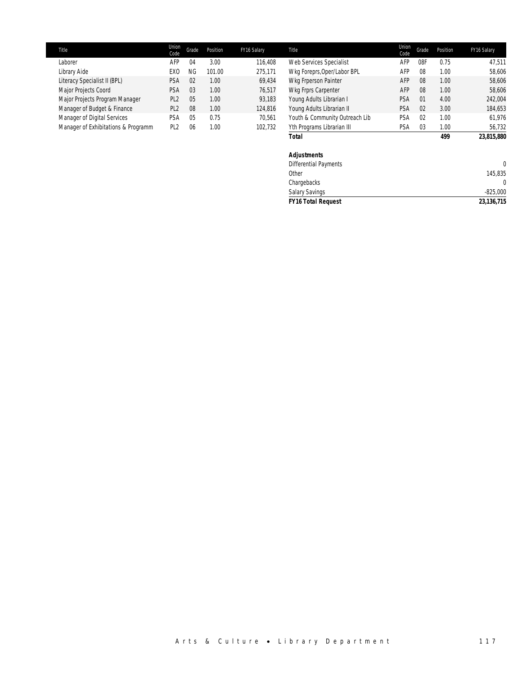| <b>Title</b>                        | Union<br>Code   | Grade          | Position | FY16 Salary | Title                          | Union<br>Code | Grade          | Position | FY16 Salary |
|-------------------------------------|-----------------|----------------|----------|-------------|--------------------------------|---------------|----------------|----------|-------------|
| Laborer                             | AFP             | 04             | 3.00     | 116,408     | Web Services Specialist        | AFP           | 08F            | 0.75     | 47.511      |
| Library Aide                        | EXC             | ΝG             | 101.00   | 275.171     | Wkg Foreprs, Oper/Labor BPL    | AFP           | 08             | 1.00     | 58.606      |
| Literacy Specialist II (BPL)        | PSA             | 02             | 1.00     | 69.434      | Wkg Frperson Painter           | AFP           | 08             | 1.00     | 58.606      |
| Major Projects Coord                | PSA             | 0 <sub>3</sub> | 1.00     | 76.517      | Wkg Frprs Carpenter            | AFP           | 08             | 1.00     | 58.606      |
| Major Projects Program Manager      | PL <sub>2</sub> | 05             | 1.00     | 93.183      | Young Adults Librarian I       | PSA           | 01             | 4.00     | 242,004     |
| Manager of Budget & Finance         | PL <sub>2</sub> | 08             | 1.00     | 124,816     | Young Adults Librarian II      | PSA           | 0 <sup>2</sup> | 3.00     | 184,653     |
| Manager of Digital Services         | PSA             | 0 <sub>5</sub> | 0.75     | 70.561      | Youth & Community Outreach Lib | PSA           | 0 <sup>2</sup> | 1.00     | 61.976      |
| Manager of Exhibitations & Programm | PI <sub>2</sub> | 06             | 00.1     | 102.732     | Yth Programs Librarian III     | PSA           | 03             | 1.00     | 56.732      |

*Total 499 23,815,880*

| <b>FY16 Total Request</b>    | 23, 136, 715   |
|------------------------------|----------------|
| <b>Salary Savings</b>        | $-825,000$     |
| Chargebacks                  | $\overline{0}$ |
| Other                        | 145,835        |
| <b>Differential Payments</b> | $\mathbf{0}$   |
| <b>Adjustments</b>           |                |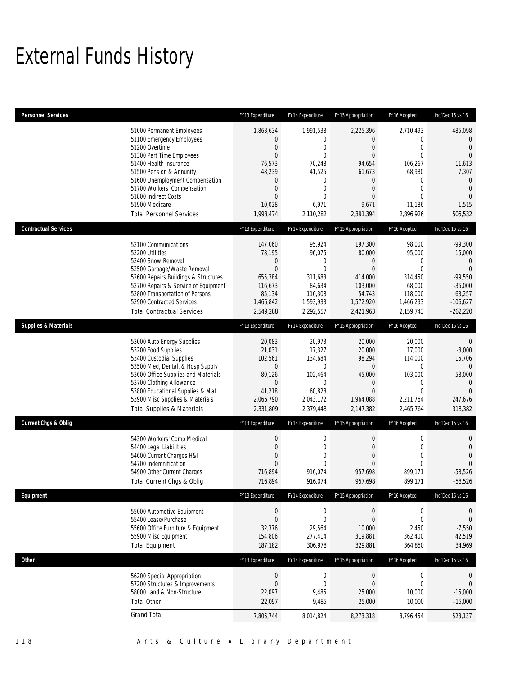# External Funds History

| <b>Personnel Services</b>       |                                                                                                                                                                                                                                                                                                            | FY13 Expenditure                                                                                             | FY14 Expenditure                                                                                                                                    | FY15 Appropriation                                                                                                                                           | FY16 Adopted                                                                                                                                      | Inc/Dec 15 vs 16                                                                                                                      |
|---------------------------------|------------------------------------------------------------------------------------------------------------------------------------------------------------------------------------------------------------------------------------------------------------------------------------------------------------|--------------------------------------------------------------------------------------------------------------|-----------------------------------------------------------------------------------------------------------------------------------------------------|--------------------------------------------------------------------------------------------------------------------------------------------------------------|---------------------------------------------------------------------------------------------------------------------------------------------------|---------------------------------------------------------------------------------------------------------------------------------------|
|                                 | 51000 Permanent Employees<br>51100 Emergency Employees<br>51200 Overtime<br>51300 Part Time Employees<br>51400 Health Insurance<br>51500 Pension & Annunity<br>51600 Unemployment Compensation<br>51700 Workers' Compensation<br>51800 Indirect Costs<br>51900 Medicare<br><b>Total Personnel Services</b> | 1,863,634<br>0<br>0<br>$\overline{0}$<br>76,573<br>48,239<br>0<br>0<br>$\overline{0}$<br>10,028<br>1,998,474 | 1,991,538<br>$\mathbf{0}$<br>$\mathbf{0}$<br>$\mathbf{0}$<br>70,248<br>41,525<br>$\mathbf{0}$<br>$\mathbf{0}$<br>$\mathbf{0}$<br>6,971<br>2,110,282 | 2,225,396<br>$\overline{0}$<br>$\overline{0}$<br>$\overline{0}$<br>94,654<br>61,673<br>$\mathbf 0$<br>$\overline{0}$<br>$\overline{0}$<br>9,671<br>2,391,394 | 2,710,493<br>$\mathbf{0}$<br>$\overline{0}$<br>$\Omega$<br>106,267<br>68,980<br>$\mathbf{0}$<br>$\overline{0}$<br>$\Omega$<br>11,186<br>2,896,926 | 485,098<br>$\mathbf 0$<br>$\overline{0}$<br>$\Omega$<br>11,613<br>7,307<br>$\theta$<br>$\overline{0}$<br>$\Omega$<br>1,515<br>505,532 |
| <b>Contractual Services</b>     |                                                                                                                                                                                                                                                                                                            | FY13 Expenditure                                                                                             | FY14 Expenditure                                                                                                                                    | FY15 Appropriation                                                                                                                                           | FY16 Adopted                                                                                                                                      | Inc/Dec 15 vs 16                                                                                                                      |
|                                 | 52100 Communications<br>52200 Utilities<br>52400 Snow Removal<br>52500 Garbage/Waste Removal<br>52600 Repairs Buildings & Structures<br>52700 Repairs & Service of Equipment<br>52800 Transportation of Persons<br>52900 Contracted Services<br><b>Total Contractual Services</b>                          | 147,060<br>78,195<br>$\mathbf 0$<br>$\overline{0}$<br>655,384<br>116,673<br>85,134<br>1,466,842<br>2,549,288 | 95,924<br>96,075<br>$\mathbf 0$<br>$\Omega$<br>311,683<br>84,634<br>110,308<br>1,593,933<br>2,292,557                                               | 197,300<br>80,000<br>$\boldsymbol{0}$<br>$\mathbf{0}$<br>414,000<br>103,000<br>54,743<br>1,572,920<br>2,421,963                                              | 98,000<br>95,000<br>$\mathbf 0$<br>$\Omega$<br>314,450<br>68,000<br>118,000<br>1,466,293<br>2,159,743                                             | $-99,300$<br>15,000<br>$\theta$<br>$\overline{0}$<br>$-99,550$<br>$-35,000$<br>63,257<br>$-106,627$<br>$-262,220$                     |
| <b>Supplies &amp; Materials</b> |                                                                                                                                                                                                                                                                                                            | FY13 Expenditure                                                                                             | FY14 Expenditure                                                                                                                                    | FY15 Appropriation                                                                                                                                           | FY16 Adopted                                                                                                                                      | Inc/Dec 15 vs 16                                                                                                                      |
|                                 | 53000 Auto Energy Supplies<br>53200 Food Supplies<br>53400 Custodial Supplies<br>53500 Med, Dental, & Hosp Supply<br>53600 Office Supplies and Materials<br>53700 Clothing Allowance<br>53800 Educational Supplies & Mat<br>53900 Misc Supplies & Materials<br><b>Total Supplies &amp; Materials</b>       | 20,083<br>21,031<br>102,561<br>$\mathbf 0$<br>80,126<br>$\overline{0}$<br>41,218<br>2,066,790<br>2,331,809   | 20,973<br>17,327<br>134,684<br>$\mathbf{0}$<br>102,464<br>$\mathbf{0}$<br>60,828<br>2,043,172<br>2,379,448                                          | 20,000<br>20,000<br>98,294<br>$\mathbf 0$<br>45,000<br>$\theta$<br>$\overline{0}$<br>1,964,088<br>2,147,382                                                  | 20,000<br>17,000<br>114,000<br>0<br>103,000<br>$\mathbf{0}$<br>$\Omega$<br>2,211,764<br>2,465,764                                                 | $\mathbf 0$<br>$-3,000$<br>15,706<br>$\mathbf{0}$<br>58,000<br>$\Omega$<br>$\Omega$<br>247,676<br>318,382                             |
| <b>Current Chgs &amp; Oblig</b> |                                                                                                                                                                                                                                                                                                            | FY13 Expenditure                                                                                             | FY14 Expenditure                                                                                                                                    | FY15 Appropriation                                                                                                                                           | FY16 Adopted                                                                                                                                      | Inc/Dec 15 vs 16                                                                                                                      |
|                                 | 54300 Workers' Comp Medical<br>54400 Legal Liabilities<br>54600 Current Charges H&I<br>54700 Indemnification<br>54900 Other Current Charges<br>Total Current Chgs & Oblig                                                                                                                                  | $\boldsymbol{0}$<br>0<br>$\overline{0}$<br>$\overline{0}$<br>716,894<br>716,894                              | $\mathbf 0$<br>$\mathbf{0}$<br>$\mathbf{0}$<br>$\Omega$<br>916,074<br>916,074                                                                       | $\boldsymbol{0}$<br>$\mathbf{0}$<br>$\overline{0}$<br>$\overline{0}$<br>957,698<br>957,698                                                                   | $\mathbf 0$<br>$\mathbf{0}$<br>$\overline{0}$<br>$\Omega$<br>899,171<br>899,171                                                                   | $\mathbf 0$<br>$\overline{0}$<br>$\mathbf{0}$<br>$\Omega$<br>$-58,526$<br>$-58,526$                                                   |
| Equipment                       |                                                                                                                                                                                                                                                                                                            | FY13 Expenditure                                                                                             | FY14 Expenditure                                                                                                                                    | FY15 Appropriation                                                                                                                                           | FY16 Adopted                                                                                                                                      | Inc/Dec 15 vs 16                                                                                                                      |
|                                 | 55000 Automotive Equipment<br>55400 Lease/Purchase<br>55600 Office Furniture & Equipment<br>55900 Misc Equipment<br><b>Total Equipment</b>                                                                                                                                                                 | $\boldsymbol{0}$<br>$\boldsymbol{0}$<br>32,376<br>154,806<br>187,182                                         | $\boldsymbol{0}$<br>$\boldsymbol{0}$<br>29,564<br>277,414<br>306,978                                                                                | $\boldsymbol{0}$<br>$\boldsymbol{0}$<br>10,000<br>319,881<br>329,881                                                                                         | $\boldsymbol{0}$<br>$\boldsymbol{0}$<br>2,450<br>362,400<br>364,850                                                                               | $\mathbf 0$<br>$\theta$<br>$-7,550$<br>42,519<br>34,969                                                                               |
| Other                           |                                                                                                                                                                                                                                                                                                            | FY13 Expenditure                                                                                             | FY14 Expenditure                                                                                                                                    | FY15 Appropriation                                                                                                                                           | FY16 Adopted                                                                                                                                      | Inc/Dec 15 vs 16                                                                                                                      |
|                                 | 56200 Special Appropriation<br>57200 Structures & Improvements<br>58000 Land & Non-Structure<br><b>Total Other</b>                                                                                                                                                                                         | $\boldsymbol{0}$<br>$\boldsymbol{0}$<br>22,097<br>22,097                                                     | $\boldsymbol{0}$<br>$\mathbf 0$<br>9,485<br>9,485                                                                                                   | $\boldsymbol{0}$<br>$\boldsymbol{0}$<br>25,000<br>25,000                                                                                                     | $\mathbf 0$<br>$\mathbf{0}$<br>10,000<br>10,000                                                                                                   | $\theta$<br>$\theta$<br>$-15,000$<br>$-15,000$                                                                                        |
|                                 | <b>Grand Total</b>                                                                                                                                                                                                                                                                                         | 7,805,744                                                                                                    | 8,014,824                                                                                                                                           | 8,273,318                                                                                                                                                    | 8,796,454                                                                                                                                         | 523,137                                                                                                                               |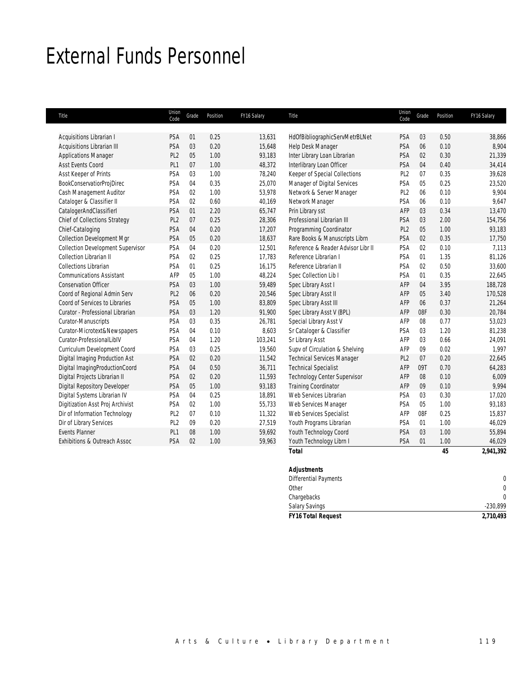# External Funds Personnel

| Title                                    | Union<br>Code   | Grade | Position | FY16 Salary | Title                              | Union<br>Code   | Grade | Position | FY16 Salary |
|------------------------------------------|-----------------|-------|----------|-------------|------------------------------------|-----------------|-------|----------|-------------|
|                                          |                 |       |          |             |                                    |                 |       |          |             |
| Acquisitions Librarian I                 | PSA             | 01    | 0.25     | 13,631      | HdOfBibliographicServMetrBLNet     | <b>PSA</b>      | 03    | 0.50     | 38,866      |
| Acquisitions Librarian III               | PSA             | 03    | 0.20     | 15,648      | Help Desk Manager                  | <b>PSA</b>      | 06    | 0.10     | 8,904       |
| <b>Applications Manager</b>              | PL <sub>2</sub> | 05    | 1.00     | 93,183      | Inter Library Loan Librarian       | <b>PSA</b>      | 02    | 0.30     | 21,339      |
| <b>Asst Events Coord</b>                 | PL <sub>1</sub> | 07    | 1.00     | 48,372      | Interlibrary Loan Officer          | PSA             | 04    | 0.40     | 34,414      |
| Asst Keeper of Prints                    | PSA             | 03    | 1.00     | 78,240      | Keeper of Special Collections      | PL <sub>2</sub> | 07    | 0.35     | 39,628      |
| <b>BookConservatiorProjDirec</b>         | PSA             | 04    | 0.35     | 25,070      | Manager of Digital Services        | PSA             | 05    | 0.25     | 23,520      |
| Cash Management Auditor                  | PSA             | 02    | 1.00     | 53,978      | Network & Server Manager           | PL <sub>2</sub> | 06    | 0.10     | 9,904       |
| Cataloger & Classifier II                | PSA             | 02    | 0.60     | 40,169      | Network Manager                    | PSA             | 06    | 0.10     | 9,647       |
| CatalogerAndClassifierI                  | PSA             | 01    | 2.20     | 65,747      | Prin Library sst                   | AFP             | 03    | 0.34     | 13,470      |
| Chief of Collections Strategy            | PL <sub>2</sub> | 07    | 0.25     | 28,306      | Professional Librarian III         | PSA             | 03    | 2.00     | 154,756     |
| Chief-Cataloging                         | PSA             | 04    | 0.20     | 17,207      | Programming Coordinator            | PL <sub>2</sub> | 05    | 1.00     | 93,183      |
| <b>Collection Development Mgr</b>        | PSA             | 05    | 0.20     | 18,637      | Rare Books & Manuscripts Librn     | PSA             | 02    | 0.35     | 17,750      |
| <b>Collection Development Supervisor</b> | PSA             | 04    | 0.20     | 12,501      | Reference & Reader Advisor Libr II | PSA             | 02    | 0.10     | 7,113       |
| Collection Librarian II                  | PSA             | 02    | 0.25     | 17,783      | Reference Librarian I              | PSA             | 01    | 1.35     | 81,126      |
| <b>Collections Librarian</b>             | PSA             | 01    | 0.25     | 16,175      | Reference Librarian II             | PSA             | 02    | 0.50     | 33,600      |
| <b>Communications Assistant</b>          | AFP             | 05    | 1.00     | 48,224      | Spec Collection Lib I              | PSA             | 01    | 0.35     | 22,645      |
| <b>Conservation Officer</b>              | PSA             | 03    | 1.00     | 59,489      | Spec Library Asst I                | AFP             | 04    | 3.95     | 188,728     |
| Coord of Regional Admin Serv             | PL <sub>2</sub> | 06    | 0.20     | 20,546      | Spec Library Asst II               | AFP             | 05    | 3.40     | 170,528     |
| Coord of Services to Libraries           | PSA             | 05    | 1.00     | 83,809      | Spec Library Asst III              | AFP             | 06    | 0.37     | 21,264      |
| Curator - Professional Librarian         | <b>PSA</b>      | 03    | 1.20     | 91,900      | Spec Library Asst V (BPL)          | AFP             | 08F   | 0.30     | 20,784      |
| Curator-Manuscripts                      | PSA             | 03    | 0.35     | 26,781      | Special Library Asst V             | AFP             | 08    | 0.77     | 53,023      |
| Curator-Microtext&Newspapers             | PSA             | 04    | 0.10     | 8,603       | Sr Cataloger & Classifier          | PSA             | 03    | 1.20     | 81,238      |
| Curator-Professionall iblV               | PSA             | 04    | 1.20     | 103,241     | Sr Library Asst                    | AFP             | 03    | 0.66     | 24,091      |
| Curriculum Development Coord             | PSA             | 03    | 0.25     | 19,560      | Supv of Circulation & Shelving     | AFP             | 09    | 0.02     | 1,997       |
| Digital Imaging Production Ast           | PSA             | 02    | 0.20     | 11,542      | <b>Technical Services Manager</b>  | PL <sub>2</sub> | 07    | 0.20     | 22,645      |
| Digital ImagingProductionCoord           | <b>PSA</b>      | 04    | 0.50     | 36,711      | <b>Technical Specialist</b>        | AFP             | 09T   | 0.70     | 64,283      |
| Digital Projects Librarian II            | PSA             | 02    | 0.20     | 11,593      | Technology Center Supervisor       | AFP             | 08    | 0.10     | 6,009       |
| <b>Digital Repository Developer</b>      | <b>PSA</b>      | 05    | 1.00     | 93,183      | <b>Training Coordinator</b>        | AFP             | 09    | 0.10     | 9,994       |
| Digital Systems Librarian IV             | PSA             | 04    | 0.25     | 18,891      | Web Services Librarian             | PSA             | 03    | 0.30     | 17,020      |
| Digitization Asst Proj Archivist         | PSA             | 02    | 1.00     | 55,733      | Web Services Manager               | PSA             | 05    | 1.00     | 93,183      |
| Dir of Information Technology            | PL <sub>2</sub> | 07    | 0.10     | 11,322      | Web Services Specialist            | AFP             | 08F   | 0.25     | 15,837      |
| Dir of Library Services                  | PL <sub>2</sub> | 09    | 0.20     | 27,519      | Youth Programs Librarian           | PSA             | 01    | 1.00     | 46,029      |
| <b>Events Planner</b>                    | PL <sub>1</sub> | 08    | 1.00     | 59,692      | Youth Technology Coord             | <b>PSA</b>      | 03    | 1.00     | 55,894      |
| Exhibitions & Outreach Assoc             | PSA             | 02    | 1.00     | 59,963      | Youth Technology Librn I           | PSA             | 01    | 1.00     | 46,029      |
|                                          |                 |       |          |             | <b>Total</b>                       |                 |       | 45       | 2,941,392   |

# *Adjustments*  Differential Payments 0 Other  $\sim$  0 Chargebacks 0 Salary Savings -230,899 *FY16 Total Request 2,710,493*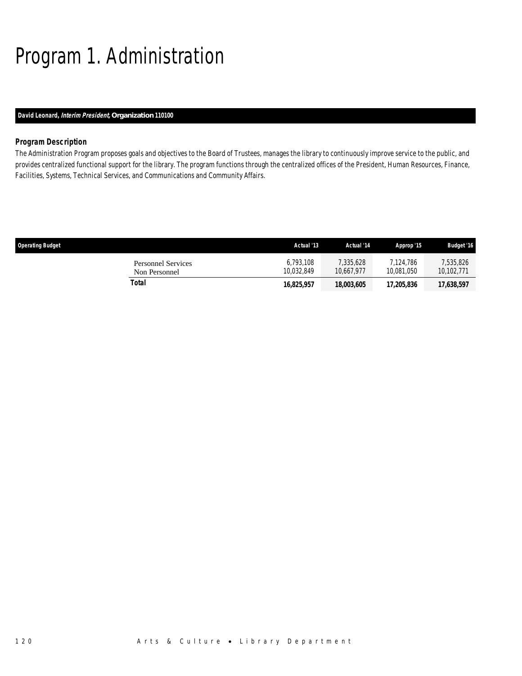# Program 1. Administration

# *David Leonard, Interim President, Organization 110100*

# *Program Description*

The Administration Program proposes goals and objectives to the Board of Trustees, manages the library to continuously improve service to the public, and provides centralized functional support for the library. The program functions through the centralized offices of the President, Human Resources, Finance, Facilities, Systems, Technical Services, and Communications and Community Affairs.

| <b>Operating Budget</b>                    | Actual '13              | Actual '14              | Approp '15              | <b>Budget '16</b>       |
|--------------------------------------------|-------------------------|-------------------------|-------------------------|-------------------------|
| <b>Personnel Services</b><br>Non Personnel | 6.793.108<br>10.032.849 | 7.335.628<br>10.667.977 | 7.124.786<br>10.081.050 | 7,535,826<br>10.102.771 |
| Total                                      | 16,825,957              | 18,003,605              | 17,205,836              | 17,638,597              |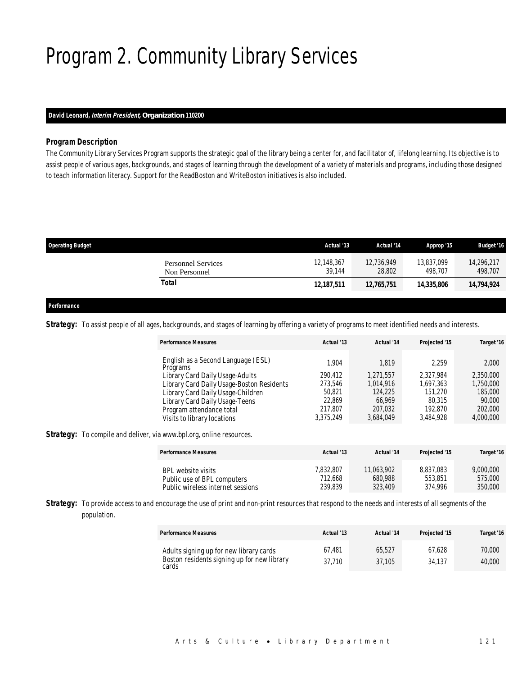# Program 2. Community Library Services

# *David Leonard, Interim President, Organization 110200*

## *Program Description*

The Community Library Services Program supports the strategic goal of the library being a center for, and facilitator of, lifelong learning. Its objective is to assist people of various ages, backgrounds, and stages of learning through the development of a variety of materials and programs, including those designed to teach information literacy. Support for the ReadBoston and WriteBoston initiatives is also included.

| <b>Operating Budget</b>                    | Actual '13           | Actual '14           | Approp '15            | <b>Budget '16</b>     |
|--------------------------------------------|----------------------|----------------------|-----------------------|-----------------------|
| <b>Personnel Services</b><br>Non Personnel | 12,148,367<br>39.144 | 12.736.949<br>28,802 | 13.837.099<br>498.707 | 14,296,217<br>498,707 |
| Total                                      | 12,187,511           | 12,765,751           | 14.335.806            | 14,794,924            |
|                                            |                      |                      |                       |                       |

# *Performance*

Strategy: To assist people of all ages, backgrounds, and stages of learning by offering a variety of programs to meet identified needs and interests.

| <b>Performance Measures</b>                    | Actual '13 | Actual '14 | Projected '15 | Target '16 |
|------------------------------------------------|------------|------------|---------------|------------|
| English as a Second Language (ESL)<br>Programs | 1.904      | 1.819      | 2.259         | 2,000      |
| Library Card Daily Usage-Adults                | 290.412    | 1.271.557  | 2.327.984     | 2,350,000  |
| Library Card Daily Usage-Boston Residents      | 273,546    | 1.014.916  | 1.697.363     | 1,750,000  |
| Library Card Daily Usage-Children              | 50.821     | 124,225    | 151,270       | 185,000    |
| Library Card Daily Usage-Teens                 | 22.869     | 66.969     | 80.315        | 90,000     |
| Program attendance total                       | 217.807    | 207,032    | 192.870       | 202,000    |
| Visits to library locations                    | 3.375.249  | 3,684,049  | 3,484,928     | 4,000,000  |

**Strategy:** To compile and deliver, via www.bpl.org, online resources.

| <b>Performance Measures</b>       | Actual '13 | Actual '14 | Projected '15 | Target '16 |
|-----------------------------------|------------|------------|---------------|------------|
| BPL website visits                | 7.832.807  | 11,063,902 | 8.837.083     | 9,000,000  |
| Public use of BPL computers       | 712.668    | 680.988    | 553.851       | 575,000    |
| Public wireless internet sessions | 239.839    | 323,409    | 374.996       | 350,000    |

**Strategy:** To provide access to and encourage the use of print and non-print resources that respond to the needs and interests of all segments of the population.

| <b>Performance Measures</b>                                                                     | Actual '13       | Actual '14       | Projected '15    | Target '16       |
|-------------------------------------------------------------------------------------------------|------------------|------------------|------------------|------------------|
| Adults signing up for new library cards<br>Boston residents signing up for new library<br>cards | 67.481<br>37.710 | 65.527<br>37.105 | 67.628<br>34.137 | 70,000<br>40,000 |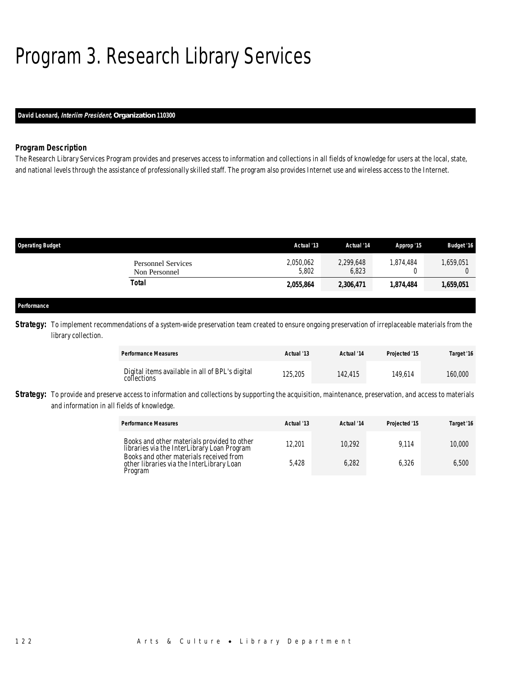# Program 3. Research Library Services

# *David Leonard, Interiim President, Organization 110300*

# *Program Description*

The Research Library Services Program provides and preserves access to information and collections in all fields of knowledge for users at the local, state, and national levels through the assistance of professionally skilled staff. The program also provides Internet use and wireless access to the Internet.

| <b>Operating Budget</b>                    | Actual '13         | Actual '14         | Approp '15 | <b>Budget '16</b> |
|--------------------------------------------|--------------------|--------------------|------------|-------------------|
| <b>Personnel Services</b><br>Non Personnel | 2,050,062<br>5,802 | 2,299,648<br>6,823 | 1.874.484  | .659,051          |
| Total                                      | 2,055,864          | 2,306,471          | 1,874,484  | 1,659,051         |
|                                            |                    |                    |            |                   |
| Performance                                |                    |                    |            |                   |

Strategy: To implement recommendations of a system-wide preservation team created to ensure ongoing preservation of irreplaceable materials from the library collection.

| <b>Performance Measures</b>                                    | Actual '13 | Actual '14 | Projected '15 | Target '16 |
|----------------------------------------------------------------|------------|------------|---------------|------------|
| Digital items available in all of BPL's digital<br>collections | 125,205    | 142.415    | 149.614       | 160,000    |

**Strategy:** To provide and preserve access to information and collections by supporting the acquisition, maintenance, preservation, and access to materials and information in all fields of knowledge.

| <b>Performance Measures</b>                                                                     | Actual '13 | Actual '14 | Projected '15 | Target '16 |
|-------------------------------------------------------------------------------------------------|------------|------------|---------------|------------|
| Books and other materials provided to other<br>libraries via the InterLibrary Loan Program      | 12.201     | 10.292     | 9.114         | 10,000     |
| Books and other materials received from<br>other libraries via the InterLibrary Loan<br>Program | 5.428      | 6.282      | 6.326         | 6.500      |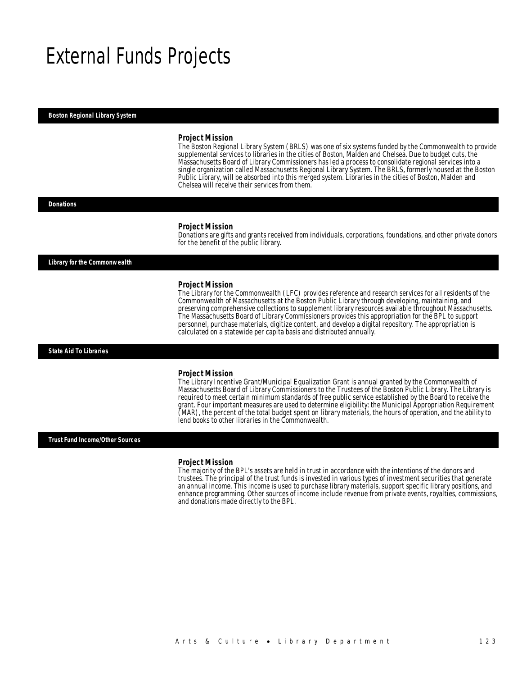# External Funds Projects

#### *Boston Regional Library System*

#### *Project Mission*

The Boston Regional Library System (BRLS) was one of six systems funded by the Commonwealth to provide supplemental services to libraries in the cities of Boston, Malden and Chelsea. Due to budget cuts, the Massachusetts Board of Library Commissioners has led a process to consolidate regional services into a single organization called Massachusetts Regional Library System. The BRLS, formerly housed at the Boston Public Library, will be absorbed into this merged system. Libraries in the cities of Boston, Malden and Chelsea will receive their services from them.

#### *Donations*

#### *Project Mission*

Donations are gifts and grants received from individuals, corporations, foundations, and other private donors for the benefit of the public library.

*Library for the Commonwealth* 

#### *Project Mission*

The Library for the Commonwealth (LFC) provides reference and research services for all residents of the Commonwealth of Massachusetts at the Boston Public Library through developing, maintaining, and preserving comprehensive collections to supplement library resources available throughout Massachusetts. The Massachusetts Board of Library Commissioners provides this appropriation for the BPL to support personnel, purchase materials, digitize content, and develop a digital repository. The appropriation is calculated on a statewide per capita basis and distributed annually.

*State Aid To Libraries* 

#### *Project Mission*

The Library Incentive Grant/Municipal Equalization Grant is annual granted by the Commonwealth of Massachusetts Board of Library Commissioners to the Trustees of the Boston Public Library. The Library is required to meet certain minimum standards of free public service established by the Board to receive the grant. Four important measures are used to determine eligibility: the Municipal Appropriation Requirement (MAR), the percent of the total budget spent on library materials, the hours of operation, and the ability to lend books to other libraries in the Commonwealth.

*Trust Fund Income/Other Sources* 

#### *Project Mission*

The majority of the BPL's assets are held in trust in accordance with the intentions of the donors and trustees. The principal of the trust funds is invested in various types of investment securities that generate an annual income. This income is used to purchase library materials, support specific library positions, and enhance programming. Other sources of income include revenue from private events, royalties, commissions, and donations made directly to the BPL.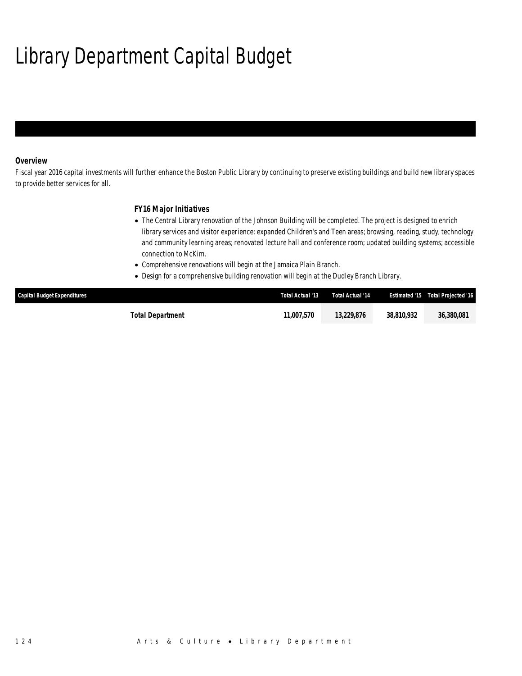# Library Department Capital Budget

# *Overview*

Fiscal year 2016 capital investments will further enhance the Boston Public Library by continuing to preserve existing buildings and build new library spaces to provide better services for all.

# *FY16 Major Initiatives*

- The Central Library renovation of the Johnson Building will be completed. The project is designed to enrich library services and visitor experience: expanded Children's and Teen areas; browsing, reading, study, technology and community learning areas; renovated lecture hall and conference room; updated building systems; accessible connection to McKim.
- Comprehensive renovations will begin at the Jamaica Plain Branch.
- Design for a comprehensive building renovation will begin at the Dudley Branch Library.

| <b>Capital Budget Expenditures</b> | Total Actual '13         | Total Actual '14 | <b>Estimated '15</b> | Total Projected '16 |
|------------------------------------|--------------------------|------------------|----------------------|---------------------|
| Total Department                   | <i><b>11.007.570</b></i> | 13.229.876       | 38.810.932           | 36,380,081          |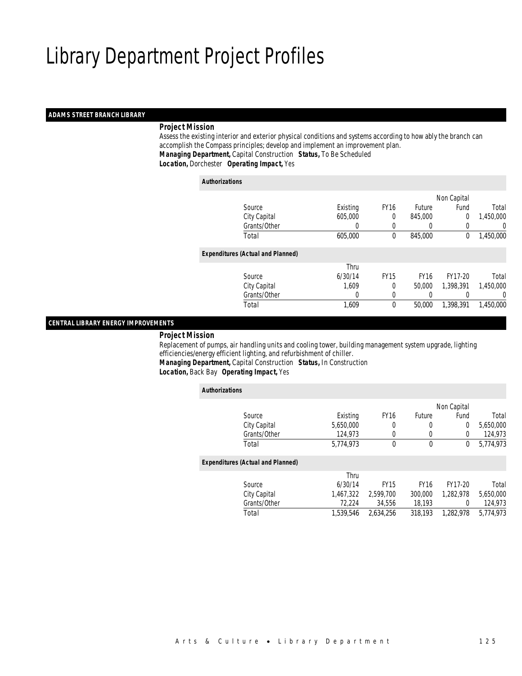### *ADAMS STREET BRANCH LIBRARY*

# *Project Mission*

 Assess the existing interior and exterior physical conditions and systems according to how ably the branch can accomplish the Compass principles; develop and implement an improvement plan. *Managing Department,* Capital Construction *Status,* To Be Scheduled*Location,* Dorchester *Operating Impact,* Yes

#### *Authorizations*

|                                          |          |             |               | Non Capital |           |
|------------------------------------------|----------|-------------|---------------|-------------|-----------|
| Source                                   | Existing | <b>FY16</b> | <b>Future</b> | Fund        | Total     |
| City Capital                             | 605,000  | 0           | 845,000       | 0           | 1,450,000 |
| Grants/Other                             | 0        |             |               |             | 0         |
| Total                                    | 605,000  | 0           | 845,000       | 0           | 1,450,000 |
| <b>Expenditures (Actual and Planned)</b> |          |             |               |             |           |
|                                          | Thru     |             |               |             |           |
| Source                                   | 6/30/14  | <b>FY15</b> | <b>FY16</b>   | FY17-20     | Total     |
| City Capital                             | 1,609    | 0           | 50,000        | 1,398,391   | 1,450,000 |
| Grants/Other                             | 0        | 0           | $\left($      |             | 0         |
| Total                                    | 1.609    | $\theta$    | 50,000        | 1,398,391   | 1,450,000 |
|                                          |          |             |               |             |           |

### *CENTRAL LIBRARY ENERGY IMPROVEMENTS*

#### *Project Mission*

 Replacement of pumps, air handling units and cooling tower, building management system upgrade, lighting efficiencies/energy efficient lighting, and refurbishment of chiller.

*Managing Department,* Capital Construction *Status,* In Construction

*Location,* Back Bay *Operating Impact,* Yes

| <b>Authorizations</b>                    |           |             |             |             |           |
|------------------------------------------|-----------|-------------|-------------|-------------|-----------|
|                                          |           |             |             | Non Capital |           |
| Source                                   | Existing  | <b>FY16</b> | Future      | Fund        | Total     |
| City Capital                             | 5,650,000 | 0           | 0           | 0           | 5,650,000 |
| Grants/Other                             | 124.973   | 0           | 0           | 0           | 124,973   |
| Total                                    | 5,774,973 | $\Omega$    | $\mathbf 0$ | 0           | 5,774,973 |
| <b>Expenditures (Actual and Planned)</b> |           |             |             |             |           |
|                                          | Thru      |             |             |             |           |
| Source                                   | 6/30/14   | <b>FY15</b> | <b>FY16</b> | FY17-20     | Total     |
| City Capital                             | 1,467,322 | 2,599,700   | 300,000     | 1,282,978   | 5,650,000 |
| Grants/Other                             | 72,224    | 34,556      | 18,193      | 0           | 124,973   |
| Total                                    | 1.539.546 | 2.634.256   | 318,193     | 1.282.978   | 5.774.973 |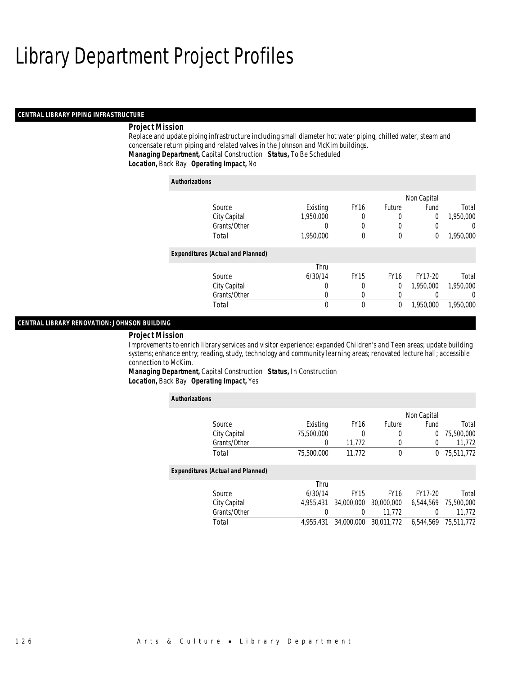#### *CENTRAL LIBRARY PIPING INFRASTRUCTURE*

### *Project Mission*

Replace and update piping infrastructure including small diameter hot water piping, chilled water, steam and condensate return piping and related valves in the Johnson and McKim buildings. *Managing Department,* Capital Construction *Status,* To Be Scheduled*Location,* Back Bay *Operating Impact,* No

| <b>Authorizations</b>                    |           |             |             |                |           |
|------------------------------------------|-----------|-------------|-------------|----------------|-----------|
|                                          |           |             |             | Non Capital    |           |
| Source                                   | Existing  | <b>FY16</b> | Future      | Fund           | Total     |
| City Capital                             | 1.950.000 | 0           | 0           | $\overline{0}$ | 1,950,000 |
| Grants/Other                             | 0         | 0           | 0           |                | $\left($  |
| Total                                    | 1,950,000 | 0           | 0           | 0              | 1,950,000 |
| <b>Expenditures (Actual and Planned)</b> |           |             |             |                |           |
|                                          | Thru      |             |             |                |           |
| Source                                   | 6/30/14   | <b>FY15</b> | <b>FY16</b> | FY17-20        | Total     |
| City Capital                             | 0         | 0           | 0           | 1.950.000      | 1.950.000 |
| Grants/Other                             | 0         | 0           | 0           |                | $\Omega$  |
| Total                                    | 0         | 0           | 0           | 1,950,000      | 1.950.000 |

### *CENTRAL LIBRARY RENOVATION: JOHNSON BUILDING*

#### *Project Mission*

Improvements to enrich library services and visitor experience: expanded Children's and Teen areas; update building systems; enhance entry; reading, study, technology and community learning areas; renovated lecture hall; accessible connection to McKim.

*Managing Department,* Capital Construction *Status,* In Construction*Location,* Back Bay *Operating Impact,* Yes

| <b>Authorizations</b>                    |            |             |             |             |            |
|------------------------------------------|------------|-------------|-------------|-------------|------------|
|                                          |            |             |             | Non Capital |            |
| Source                                   | Existing   | <b>FY16</b> | Future      | Fund        | Total      |
| City Capital                             | 75,500,000 | 0           | 0           | 0           | 75,500,000 |
| Grants/Other                             | $\left($   | 11,772      | 0           | 0           | 11,772     |
| Total                                    | 75,500,000 | 11.772      | $\mathbf 0$ | $^{0}$      | 75,511,772 |
| <b>Expenditures (Actual and Planned)</b> |            |             |             |             |            |
|                                          | Thru       |             |             |             |            |
| Source                                   | 6/30/14    | <b>FY15</b> | <b>FY16</b> | FY17-20     | Total      |
| City Capital                             | 4.955.431  | 34,000,000  | 30,000,000  | 6.544.569   | 75,500,000 |
| Grants/Other                             | 0          | 0           | 11.772      | 0           | 11.772     |
| Total                                    | 4,955,431  | 34,000,000  | 30.011.772  | 6.544.569   | 75,511,772 |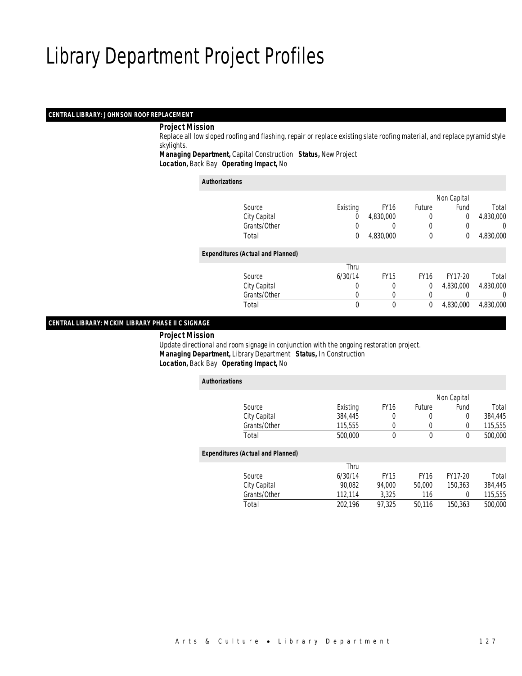### *CENTRAL LIBRARY: JOHNSON ROOF REPLACEMENT*

### *Project Mission*

 Replace all low sloped roofing and flashing, repair or replace existing slate roofing material, and replace pyramid style skylights.

*Managing Department,* Capital Construction *Status,* New Project*Location,* Back Bay *Operating Impact,* No

#### *Authorizations*

|                                          |          |             |               | Non Capital    |           |
|------------------------------------------|----------|-------------|---------------|----------------|-----------|
| Source                                   | Existing | <b>FY16</b> | <b>Future</b> | Fund           | Total     |
| City Capital                             | 0        | 4,830,000   | 0             | $\overline{0}$ | 4,830,000 |
| Grants/Other                             | 0        |             |               |                | 0         |
| Total                                    | 0        | 4,830,000   | $\mathbf 0$   | 0              | 4,830,000 |
| <b>Expenditures (Actual and Planned)</b> |          |             |               |                |           |
|                                          | Thru     |             |               |                |           |
| Source                                   | 6/30/14  | <b>FY15</b> | <b>FY16</b>   | FY17-20        | Total     |
| City Capital                             | 0        | 0           | 0             | 4,830,000      | 4,830,000 |
| Grants/Other                             | 0        |             | 0             |                | 0         |
| Total                                    | 0        | $\theta$    | $\theta$      | 4,830,000      | 4,830,000 |
|                                          |          |             |               |                |           |

# *CENTRAL LIBRARY: MCKIM LIBRARY PHASE II C SIGNAGE*

*Project Mission*

 Update directional and room signage in conjunction with the ongoing restoration project. *Managing Department,* Library Department *Status,* In Construction*Location,* Back Bay *Operating Impact,* No

| <b>Authorizations</b>                    |          |             |               |             |         |
|------------------------------------------|----------|-------------|---------------|-------------|---------|
|                                          |          |             |               | Non Capital |         |
| Source                                   | Existing | <b>FY16</b> | <b>Future</b> | Fund        | Total   |
| City Capital                             | 384,445  | 0           | 0             | 0           | 384,445 |
| Grants/Other                             | 115,555  | 0           | 0             | 0           | 115,555 |
| Total                                    | 500,000  | $\theta$    | $\mathbf 0$   | 0           | 500,000 |
| <b>Expenditures (Actual and Planned)</b> |          |             |               |             |         |
|                                          | Thru     |             |               |             |         |
| Source                                   | 6/30/14  | <b>FY15</b> | <b>FY16</b>   | FY17-20     | Total   |
| City Capital                             | 90.082   | 94.000      | 50,000        | 150.363     | 384,445 |
| Grants/Other                             | 112,114  | 3.325       | 116           | 0           | 115,555 |
| Total                                    | 202.196  | 97.325      | 50.116        | 150,363     | 500,000 |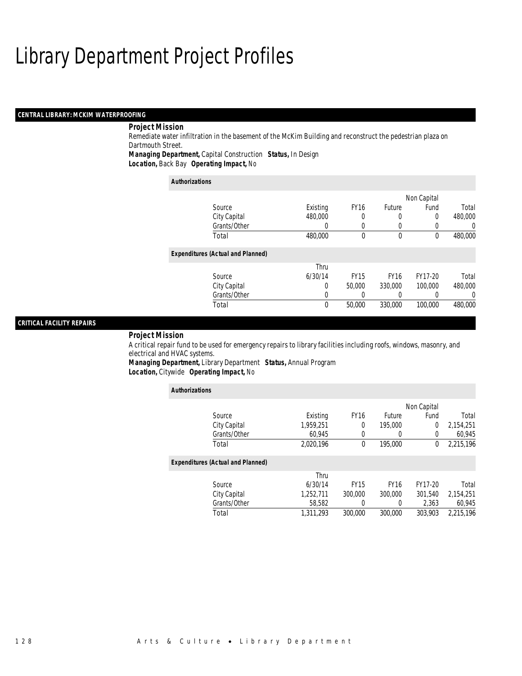### *CENTRAL LIBRARY: MCKIM WATERPROOFING*

# *Project Mission*

Remediate water infiltration in the basement of the McKim Building and reconstruct the pedestrian plaza on Dartmouth Street.

*Managing Department,* Capital Construction *Status,* In Design

*Location,* Back Bay *Operating Impact,* No

| <b>Authorizations</b>                    |          |             |             |             |         |
|------------------------------------------|----------|-------------|-------------|-------------|---------|
|                                          |          |             |             | Non Capital |         |
| Source                                   | Existing | <b>FY16</b> | Future      | Fund        | Total   |
| City Capital                             | 480,000  | 0           | 0           | 0           | 480,000 |
| Grants/Other                             | 0        | 0           |             | 0           | 0       |
| Total                                    | 480,000  | 0           | $\theta$    | 0           | 480,000 |
| <b>Expenditures (Actual and Planned)</b> |          |             |             |             |         |
|                                          | Thru     |             |             |             |         |
| Source                                   | 6/30/14  | <b>FY15</b> | <b>FY16</b> | FY17-20     | Total   |
| City Capital                             | 0        | 50,000      | 330,000     | 100,000     | 480,000 |
| Grants/Other                             | 0        |             |             |             | 0       |
| Total                                    | 0        | 50,000      | 330,000     | 100,000     | 480,000 |

### *CRITICAL FACILITY REPAIRS*

#### *Project Mission*

A critical repair fund to be used for emergency repairs to library facilities including roofs, windows, masonry, and electrical and HVAC systems.

*Managing Department,* Library Department *Status,* Annual Program*Location,* Citywide *Operating Impact,* No

| <b>Authorizations</b>                    |           |             |             |             |           |
|------------------------------------------|-----------|-------------|-------------|-------------|-----------|
|                                          |           |             |             | Non Capital |           |
| Source                                   | Existing  | <b>FY16</b> | Future      | Fund        | Total     |
| City Capital                             | 1,959,251 | 0           | 195,000     | 0           | 2,154,251 |
| Grants/Other                             | 60.945    | 0           |             | $\Omega$    | 60,945    |
| Total                                    | 2,020,196 | $\theta$    | 195,000     | 0           | 2,215,196 |
| <b>Expenditures (Actual and Planned)</b> |           |             |             |             |           |
|                                          | Thru      |             |             |             |           |
| Source                                   | 6/30/14   | <b>FY15</b> | <b>FY16</b> | FY17-20     | Total     |
| City Capital                             | 1.252.711 | 300,000     | 300,000     | 301.540     | 2,154,251 |
| Grants/Other                             | 58,582    | 0           | 0           | 2.363       | 60,945    |
| Total                                    | 1.311.293 | 300,000     | 300,000     | 303.903     | 2.215.196 |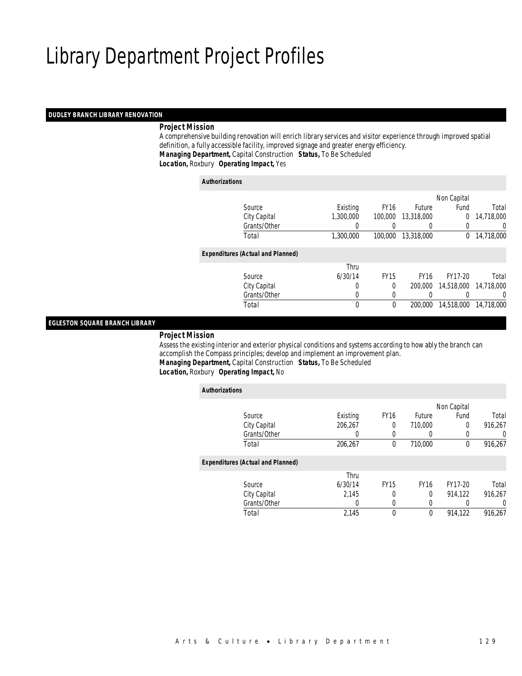#### *DUDLEY BRANCH LIBRARY RENOVATION*

# *Project Mission*

 A comprehensive building renovation will enrich library services and visitor experience through improved spatial definition, a fully accessible facility, improved signage and greater energy efficiency. *Managing Department,* Capital Construction *Status,* To Be Scheduled

*Location,* Roxbury *Operating Impact,* Yes

### *Authorizations*

|                                          |                  |             |                  | Non Capital |            |
|------------------------------------------|------------------|-------------|------------------|-------------|------------|
| Source                                   | Existing         | <b>FY16</b> | <b>Future</b>    | Fund        | Total      |
| City Capital                             | 1,300,000        | 100,000     | 13,318,000       | $\Omega$    | 14,718,000 |
| Grants/Other                             | $\left( \right)$ |             | $\left( \right)$ |             | 0          |
| Total                                    | 1,300,000        | 100,000     | 13,318,000       | $\sigma$    | 14,718,000 |
| <b>Expenditures (Actual and Planned)</b> |                  |             |                  |             |            |
|                                          | Thru             |             |                  |             |            |
| Source                                   | 6/30/14          | <b>FY15</b> | <b>FY16</b>      | FY17-20     | Total      |
| City Capital                             | 0                | $\Omega$    | 200,000          | 14,518,000  | 14,718,000 |
| Grants/Other                             | 0                |             |                  |             | 0          |
| Total                                    | 0                | $\Omega$    | 200,000          | 14,518,000  | 14,718,000 |
|                                          |                  |             |                  |             |            |

### *EGLESTON SQUARE BRANCH LIBRARY*

*Project Mission*

 Assess the existing interior and exterior physical conditions and systems according to how ably the branch can accomplish the Compass principles; develop and implement an improvement plan. *Managing Department,* Capital Construction *Status,* To Be Scheduled*Location,* Roxbury *Operating Impact,* No

| <b>Authorizations</b> |                                          |          |             |                  |             |         |
|-----------------------|------------------------------------------|----------|-------------|------------------|-------------|---------|
|                       |                                          |          |             |                  | Non Capital |         |
|                       | Source                                   | Existing | <b>FY16</b> | <b>Future</b>    | Fund        | Total   |
|                       | City Capital                             | 206,267  | $\theta$    | 710.000          | 0           | 916,267 |
|                       | Grants/Other                             | 0        | $\left($    | $\left( \right)$ | 0           | 0       |
|                       | Total                                    | 206,267  | 0           | 710,000          | 0           | 916,267 |
|                       | <b>Expenditures (Actual and Planned)</b> |          |             |                  |             |         |
|                       |                                          | Thru     |             |                  |             |         |
|                       | Source                                   | 6/30/14  | <b>FY15</b> | <b>FY16</b>      | FY17-20     | Total   |
|                       | City Capital                             | 2,145    | 0           | 0                | 914,122     | 916,267 |
|                       | Grants/Other                             | 0        | 0           | 0                |             | 0       |
|                       | Total                                    | 2.145    | $\theta$    | $\mathbf 0$      | 914.122     | 916.267 |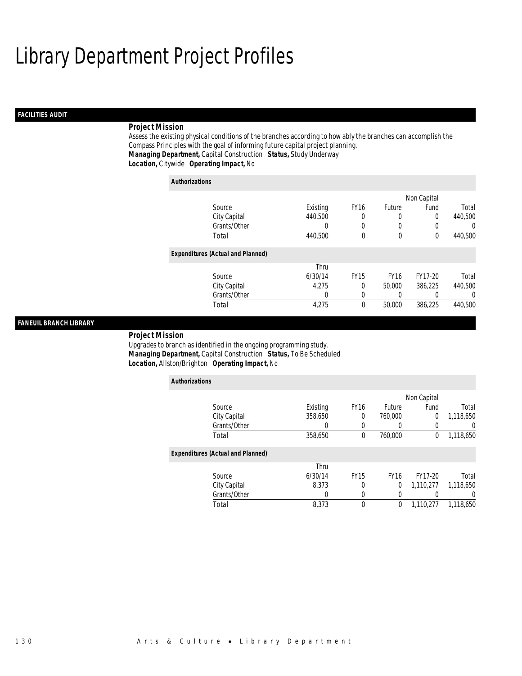# *FACILITIES AUDIT*

# *Project Mission*

Assess the existing physical conditions of the branches according to how ably the branches can accomplish the Compass Principles with the goal of informing future capital project planning. *Managing Department,* Capital Construction *Status,* Study Underway*Location,* Citywide *Operating Impact,* No

| <b>Authorizations</b>                    |          |             |             |             |                  |
|------------------------------------------|----------|-------------|-------------|-------------|------------------|
|                                          |          |             |             | Non Capital |                  |
| Source                                   | Existing | <b>FY16</b> | Future      | Fund        | Total            |
| City Capital                             | 440,500  | 0           |             | 0           | 440,500          |
| Grants/Other                             | 0        | $\left($    |             |             | 0                |
| Total                                    | 440,500  | $\theta$    | $\theta$    | $\theta$    | 440,500          |
| <b>Expenditures (Actual and Planned)</b> |          |             |             |             |                  |
|                                          | Thru     |             |             |             |                  |
| Source                                   | 6/30/14  | <b>FY15</b> | <b>FY16</b> | FY17-20     | Total            |
| City Capital                             | 4.275    | 0           | 50,000      | 386,225     | 440,500          |
| Grants/Other                             | 0        | $\left($    |             |             | $\left( \right)$ |
| Total                                    | 4,275    | 0           | 50,000      | 386.225     | 440.500          |

### *FANEUIL BRANCH LIBRARY*

*Project Mission* 

Upgrades to branch as identified in the ongoing programming study. *Managing Department,* Capital Construction *Status,* To Be Scheduled*Location,* Allston/Brighton *Operating Impact,* No

| <b>Authorizations</b>                    |          |             |             |             |           |
|------------------------------------------|----------|-------------|-------------|-------------|-----------|
|                                          |          |             |             | Non Capital |           |
| Source                                   | Existing | <b>FY16</b> | Future      | Fund        | Total     |
| City Capital                             | 358,650  | 0           | 760,000     | 0           | 1,118,650 |
| Grants/Other                             | 0        | 0           |             | 0           | 0         |
| Total                                    | 358,650  | $\theta$    | 760,000     | $\mathbf 0$ | 1,118,650 |
| <b>Expenditures (Actual and Planned)</b> |          |             |             |             |           |
|                                          | Thru     |             |             |             |           |
| Source                                   | 6/30/14  | <b>FY15</b> | <b>FY16</b> | FY17-20     | Total     |
| City Capital                             | 8,373    | 0           | 0           | 1,110,277   | 1,118,650 |
| Grants/Other                             | 0        | 0           |             |             | 0         |
| Total                                    | 8,373    | $\theta$    | 0           | 1,110,277   | 1.118.650 |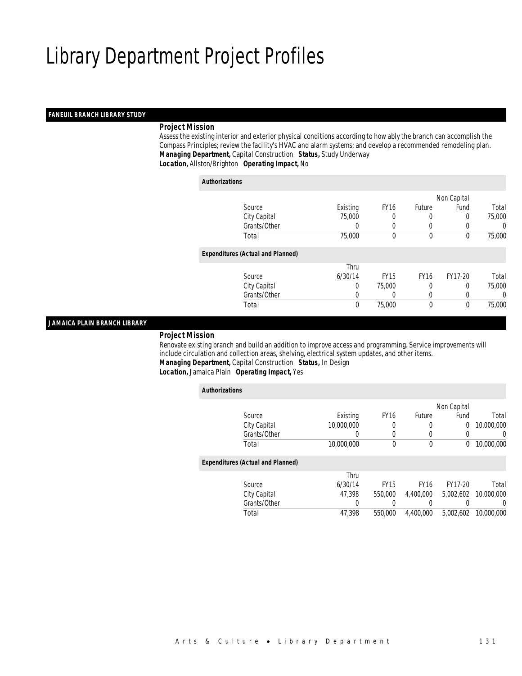## *FANEUIL BRANCH LIBRARY STUDY*

## *Project Mission*

 Assess the existing interior and exterior physical conditions according to how ably the branch can accomplish the Compass Principles; review the facility's HVAC and alarm systems; and develop a recommended remodeling plan. *Managing Department,* Capital Construction *Status,* Study Underway*Location,* Allston/Brighton *Operating Impact,* No

*Authorizations*

|                                          |          |             |             | Non Capital |        |
|------------------------------------------|----------|-------------|-------------|-------------|--------|
| Source                                   | Existing | <b>FY16</b> | Future      | Fund        | Total  |
| City Capital                             | 75,000   |             |             | 0           | 75,000 |
| Grants/Other                             | 0        |             |             |             | 0      |
| Total                                    | 75,000   | 0           | $\mathbf 0$ | 0           | 75,000 |
| <b>Expenditures (Actual and Planned)</b> |          |             |             |             |        |
|                                          | Thru     |             |             |             |        |
| Source                                   | 6/30/14  | <b>FY15</b> | <b>FY16</b> | FY17-20     | Total  |
| City Capital                             | 0        | 75,000      | 0           | 0           | 75,000 |
| Grants/Other                             | 0        |             | 0           | 0           | 0      |
| Total                                    | 0        | 75,000      | $\theta$    | 0           | 75,000 |
|                                          |          |             |             |             |        |

### *JAMAICA PLAIN BRANCH LIBRARY*

#### *Project Mission*

 Renovate existing branch and build an addition to improve access and programming. Service improvements will include circulation and collection areas, shelving, electrical system updates, and other items. *Managing Department,* Capital Construction *Status,* In Design*Location,* Jamaica Plain *Operating Impact,* Yes

| <b>Authorizations</b> |                                          |                  |             |               |                |            |
|-----------------------|------------------------------------------|------------------|-------------|---------------|----------------|------------|
|                       |                                          |                  |             |               | Non Capital    |            |
|                       | Source                                   | Existing         | <b>FY16</b> | <b>Future</b> | Fund           | Total      |
|                       | City Capital                             | 10,000,000       | 0           | $\left($      | $\overline{0}$ | 10,000,000 |
|                       | Grants/Other                             | $\left( \right)$ | 0           | $\left($      | 0              | 0          |
|                       | Total                                    | 10,000,000       | $\theta$    | $\mathbf 0$   | $^{0}$         | 10,000,000 |
|                       | <b>Expenditures (Actual and Planned)</b> |                  |             |               |                |            |
|                       |                                          | Thru             |             |               |                |            |
|                       | Source                                   | 6/30/14          | <b>FY15</b> | <b>FY16</b>   | FY17-20        | Total      |
|                       | City Capital                             | 47.398           | 550,000     | 4.400.000     | 5,002,602      | 10,000,000 |
|                       | Grants/Other                             | 0                |             |               |                | 0          |
|                       | Total                                    | 47.398           | 550,000     | 4.400.000     | 5.002.602      | 10,000,000 |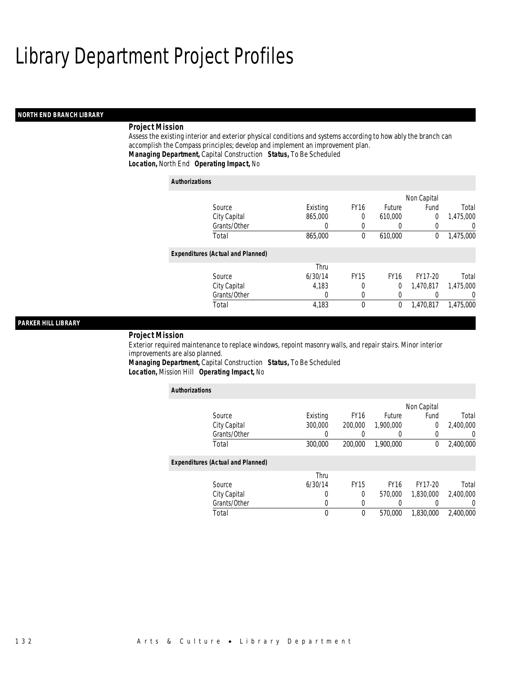## *NORTH END BRANCH LIBRARY*

# *Project Mission*

Assess the existing interior and exterior physical conditions and systems according to how ably the branch can accomplish the Compass principles; develop and implement an improvement plan. *Managing Department,* Capital Construction *Status,* To Be Scheduled*Location,* North End *Operating Impact,* No

| <b>Authorizations</b>                    |          |                  |             |             |                |
|------------------------------------------|----------|------------------|-------------|-------------|----------------|
|                                          |          |                  |             | Non Capital |                |
| Source                                   | Existing | FY <sub>16</sub> | Future      | Fund        | Total          |
| City Capital                             | 865,000  | $\Omega$         | 610,000     | $\theta$    | 1,475,000      |
| Grants/Other                             | 0        | 0                | 0           | $\left($    | $\overline{0}$ |
| Total                                    | 865,000  | $\theta$         | 610,000     | $\Omega$    | 1,475,000      |
| <b>Expenditures (Actual and Planned)</b> |          |                  |             |             |                |
|                                          | Thru     |                  |             |             |                |
| Source                                   | 6/30/14  | <b>FY15</b>      | <b>FY16</b> | FY17-20     | Total          |
| City Capital                             | 4,183    | 0                | 0           | 1,470,817   | 1,475,000      |
| Grants/Other                             | 0        | $\Omega$         | 0           |             | $\Omega$       |
| Total                                    | 4,183    | $\theta$         | 0           | 1.470.817   | 1.475.000      |

### *PARKER HILL LIBRARY*

### *Project Mission*

Exterior required maintenance to replace windows, repoint masonry walls, and repair stairs. Minor interior improvements are also planned.

*Managing Department,* Capital Construction *Status,* To Be Scheduled*Location,* Mission Hill *Operating Impact,* No

| <b>Authorizations</b>                    |          |             |             |             |                  |
|------------------------------------------|----------|-------------|-------------|-------------|------------------|
|                                          |          |             |             | Non Capital |                  |
| Source                                   | Existing | <b>FY16</b> | Future      | Fund        | Total            |
| City Capital                             | 300,000  | 200,000     | 1.900.000   | 0           | 2,400,000        |
| Grants/Other                             | 0        |             |             | 0           | $\left( \right)$ |
| Total                                    | 300,000  | 200,000     | 1,900,000   | 0           | 2,400,000        |
|                                          |          |             |             |             |                  |
| <b>Expenditures (Actual and Planned)</b> |          |             |             |             |                  |
|                                          | Thru     |             |             |             |                  |
| Source                                   | 6/30/14  | <b>FY15</b> | <b>FY16</b> | FY17-20     | Total            |
| City Capital                             | 0        | 0           | 570,000     | 1.830.000   | 2.400.000        |
| Grants/Other                             | 0        | 0           |             |             | 0                |
| Total                                    | 0        | 0           | 570,000     | 1.830.000   | 2.400.000        |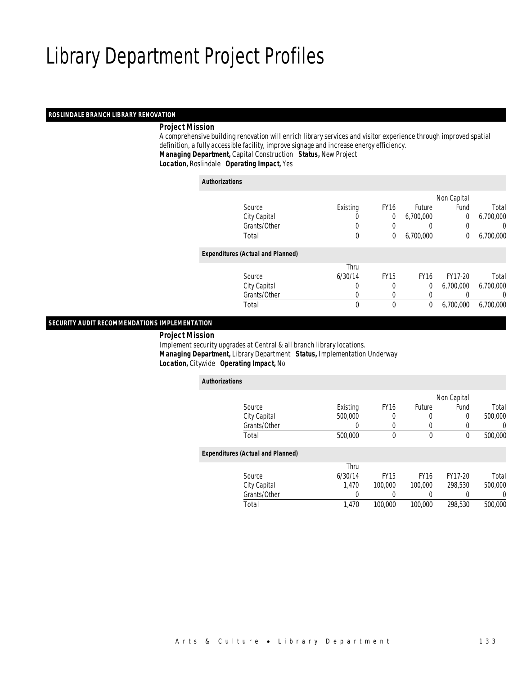# *ROSLINDALE BRANCH LIBRARY RENOVATION*

# *Project Mission*

 A comprehensive building renovation will enrich library services and visitor experience through improved spatial definition, a fully accessible facility, improve signage and increase energy efficiency. *Managing Department,* Capital Construction *Status,* New Project*Location,* Roslindale *Operating Impact,* Yes

*Authorizations*

*Authorizations*

|                                          |                  |             |             | Non Capital |           |
|------------------------------------------|------------------|-------------|-------------|-------------|-----------|
| Source                                   | Existing         | <b>FY16</b> | Future      | Fund        | Total     |
| City Capital                             | $\left( \right)$ | 0           | 6,700,000   | 0           | 6,700,000 |
| Grants/Other                             |                  |             |             |             | 0         |
| Total                                    | 0                | 0           | 6,700,000   | 0           | 6,700,000 |
| <b>Expenditures (Actual and Planned)</b> |                  |             |             |             |           |
|                                          | Thru             |             |             |             |           |
| Source                                   | 6/30/14          | <b>FY15</b> | <b>FY16</b> | FY17-20     | Total     |
| City Capital                             | 0                | 0           | 0           | 6,700,000   | 6,700,000 |
| Grants/Other                             | 0                | 0           | 0           |             | 0         |
| Total                                    | 0                | $\theta$    | 0           | 6,700,000   | 6,700,000 |
|                                          |                  |             |             |             |           |

### *SECURITY AUDIT RECOMMENDATIONS IMPLEMENTATION*

*Project Mission*

 Implement security upgrades at Central & all branch library locations. *Managing Department,* Library Department *Status,* Implementation Underway*Location,* Citywide *Operating Impact,* No

| <b>Authorizations</b>                    |          |             |               |                  |         |
|------------------------------------------|----------|-------------|---------------|------------------|---------|
|                                          |          |             |               | Non Capital      |         |
| Source                                   | Existing | <b>FY16</b> | <b>Future</b> | Fund             | Total   |
| City Capital                             | 500,000  | 0           | 0             | 0                | 500,000 |
| Grants/Other                             | 0        | 0           | 0             | $\left( \right)$ | 0       |
| Total                                    | 500,000  | 0           | 0             | 0                | 500,000 |
| <b>Expenditures (Actual and Planned)</b> |          |             |               |                  |         |
|                                          | Thru     |             |               |                  |         |
| Source                                   | 6/30/14  | <b>FY15</b> | <b>FY16</b>   | FY17-20          | Total   |
| City Capital                             | 1.470    | 100,000     | 100,000       | 298.530          | 500,000 |
| Grants/Other                             |          |             | 0             |                  | 0       |
| Total                                    | 1.470    | 100,000     | 100,000       | 298.530          | 500,000 |